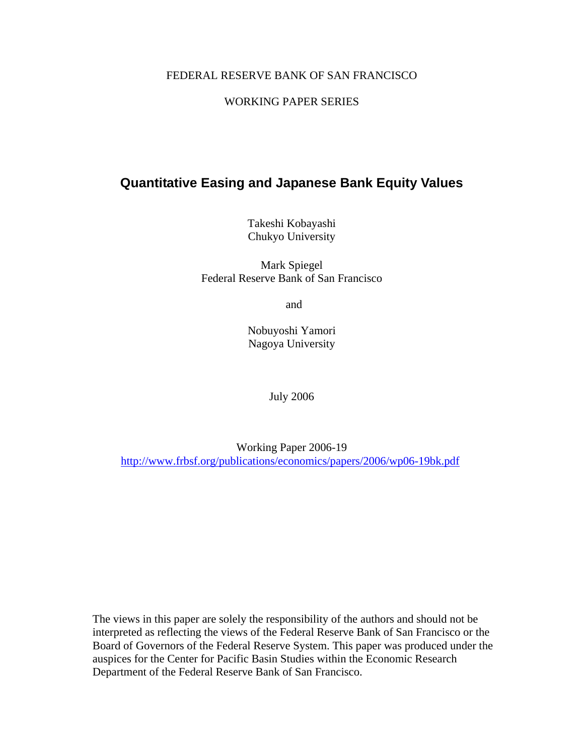### FEDERAL RESERVE BANK OF SAN FRANCISCO

### WORKING PAPER SERIES

## **Quantitative Easing and Japanese Bank Equity Values**

Takeshi Kobayashi Chukyo University

Mark Spiegel Federal Reserve Bank of San Francisco

and

Nobuyoshi Yamori Nagoya University

July 2006

Working Paper 2006-19 http://www.frbsf.org/publications/economics/papers/2006/wp06-19bk.pdf

The views in this paper are solely the responsibility of the authors and should not be interpreted as reflecting the views of the Federal Reserve Bank of San Francisco or the Board of Governors of the Federal Reserve System. This paper was produced under the auspices for the Center for Pacific Basin Studies within the Economic Research Department of the Federal Reserve Bank of San Francisco.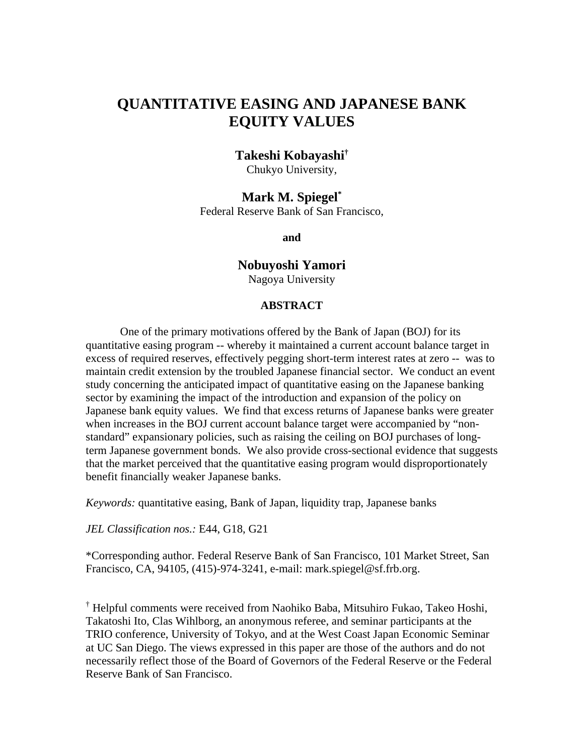# **QUANTITATIVE EASING AND JAPANESE BANK EQUITY VALUES**

## **Takeshi Kobayashi†**

Chukyo University,

## **Mark M. Spiegel\***

Federal Reserve Bank of San Francisco,

**and** 

### **Nobuyoshi Yamori**

Nagoya University

### **ABSTRACT**

One of the primary motivations offered by the Bank of Japan (BOJ) for its quantitative easing program -- whereby it maintained a current account balance target in excess of required reserves, effectively pegging short-term interest rates at zero -- was to maintain credit extension by the troubled Japanese financial sector. We conduct an event study concerning the anticipated impact of quantitative easing on the Japanese banking sector by examining the impact of the introduction and expansion of the policy on Japanese bank equity values. We find that excess returns of Japanese banks were greater when increases in the BOJ current account balance target were accompanied by "nonstandard" expansionary policies, such as raising the ceiling on BOJ purchases of longterm Japanese government bonds. We also provide cross-sectional evidence that suggests that the market perceived that the quantitative easing program would disproportionately benefit financially weaker Japanese banks.

*Keywords:* quantitative easing, Bank of Japan, liquidity trap, Japanese banks

*JEL Classification nos.:* E44, G18, G21

\*Corresponding author. Federal Reserve Bank of San Francisco, 101 Market Street, San Francisco, CA, 94105, (415)-974-3241, e-mail: mark.spiegel@sf.frb.org.

† Helpful comments were received from Naohiko Baba, Mitsuhiro Fukao, Takeo Hoshi, Takatoshi Ito, Clas Wihlborg, an anonymous referee, and seminar participants at the TRIO conference, University of Tokyo, and at the West Coast Japan Economic Seminar at UC San Diego. The views expressed in this paper are those of the authors and do not necessarily reflect those of the Board of Governors of the Federal Reserve or the Federal Reserve Bank of San Francisco.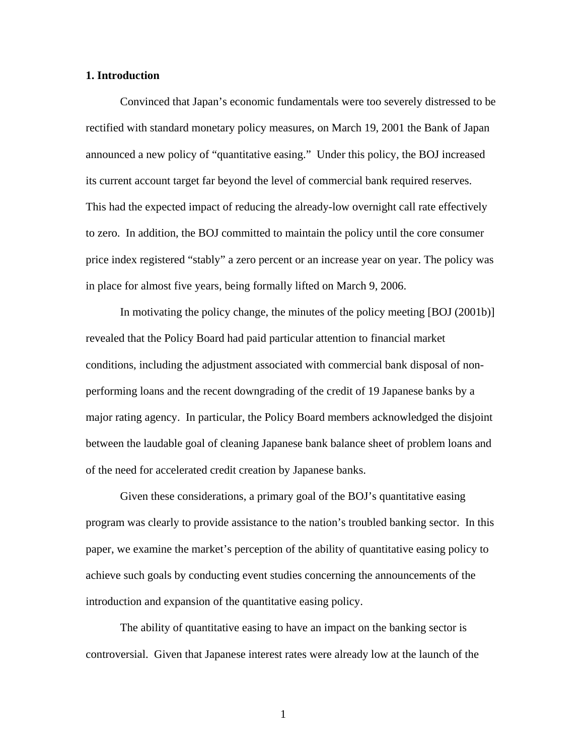#### **1. Introduction**

Convinced that Japan's economic fundamentals were too severely distressed to be rectified with standard monetary policy measures, on March 19, 2001 the Bank of Japan announced a new policy of "quantitative easing." Under this policy, the BOJ increased its current account target far beyond the level of commercial bank required reserves. This had the expected impact of reducing the already-low overnight call rate effectively to zero. In addition, the BOJ committed to maintain the policy until the core consumer price index registered "stably" a zero percent or an increase year on year. The policy was in place for almost five years, being formally lifted on March 9, 2006.

 In motivating the policy change, the minutes of the policy meeting [BOJ (2001b)] revealed that the Policy Board had paid particular attention to financial market conditions, including the adjustment associated with commercial bank disposal of nonperforming loans and the recent downgrading of the credit of 19 Japanese banks by a major rating agency. In particular, the Policy Board members acknowledged the disjoint between the laudable goal of cleaning Japanese bank balance sheet of problem loans and of the need for accelerated credit creation by Japanese banks.

 Given these considerations, a primary goal of the BOJ's quantitative easing program was clearly to provide assistance to the nation's troubled banking sector. In this paper, we examine the market's perception of the ability of quantitative easing policy to achieve such goals by conducting event studies concerning the announcements of the introduction and expansion of the quantitative easing policy.

The ability of quantitative easing to have an impact on the banking sector is controversial. Given that Japanese interest rates were already low at the launch of the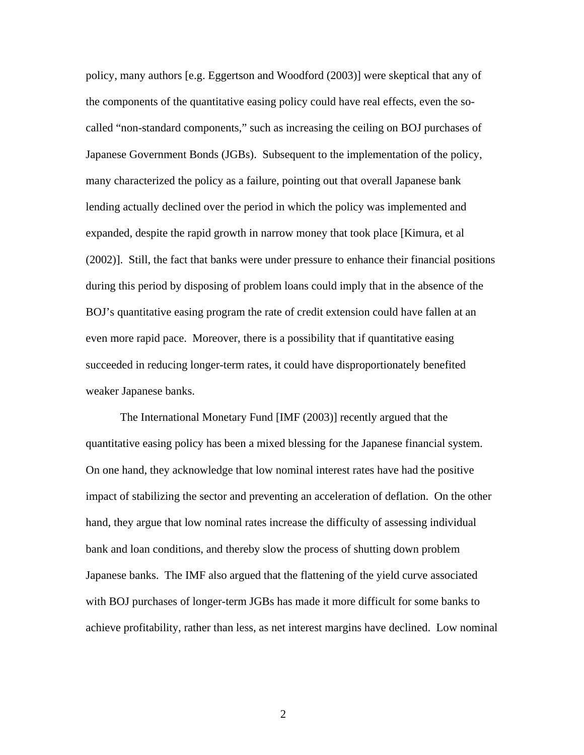policy, many authors [e.g. Eggertson and Woodford (2003)] were skeptical that any of the components of the quantitative easing policy could have real effects, even the socalled "non-standard components," such as increasing the ceiling on BOJ purchases of Japanese Government Bonds (JGBs). Subsequent to the implementation of the policy, many characterized the policy as a failure, pointing out that overall Japanese bank lending actually declined over the period in which the policy was implemented and expanded, despite the rapid growth in narrow money that took place [Kimura, et al (2002)]. Still, the fact that banks were under pressure to enhance their financial positions during this period by disposing of problem loans could imply that in the absence of the BOJ's quantitative easing program the rate of credit extension could have fallen at an even more rapid pace. Moreover, there is a possibility that if quantitative easing succeeded in reducing longer-term rates, it could have disproportionately benefited weaker Japanese banks.

The International Monetary Fund [IMF (2003)] recently argued that the quantitative easing policy has been a mixed blessing for the Japanese financial system. On one hand, they acknowledge that low nominal interest rates have had the positive impact of stabilizing the sector and preventing an acceleration of deflation. On the other hand, they argue that low nominal rates increase the difficulty of assessing individual bank and loan conditions, and thereby slow the process of shutting down problem Japanese banks. The IMF also argued that the flattening of the yield curve associated with BOJ purchases of longer-term JGBs has made it more difficult for some banks to achieve profitability, rather than less, as net interest margins have declined. Low nominal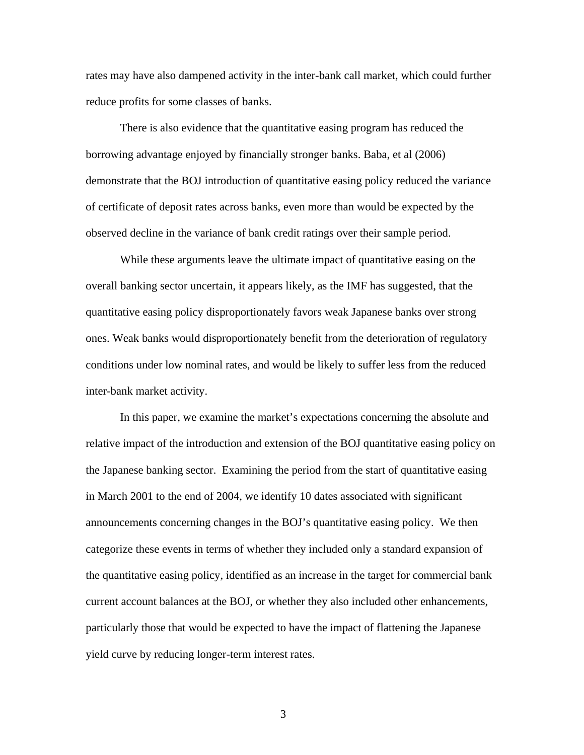rates may have also dampened activity in the inter-bank call market, which could further reduce profits for some classes of banks.

 There is also evidence that the quantitative easing program has reduced the borrowing advantage enjoyed by financially stronger banks. Baba, et al (2006) demonstrate that the BOJ introduction of quantitative easing policy reduced the variance of certificate of deposit rates across banks, even more than would be expected by the observed decline in the variance of bank credit ratings over their sample period.

 While these arguments leave the ultimate impact of quantitative easing on the overall banking sector uncertain, it appears likely, as the IMF has suggested, that the quantitative easing policy disproportionately favors weak Japanese banks over strong ones. Weak banks would disproportionately benefit from the deterioration of regulatory conditions under low nominal rates, and would be likely to suffer less from the reduced inter-bank market activity.

In this paper, we examine the market's expectations concerning the absolute and relative impact of the introduction and extension of the BOJ quantitative easing policy on the Japanese banking sector. Examining the period from the start of quantitative easing in March 2001 to the end of 2004, we identify 10 dates associated with significant announcements concerning changes in the BOJ's quantitative easing policy. We then categorize these events in terms of whether they included only a standard expansion of the quantitative easing policy, identified as an increase in the target for commercial bank current account balances at the BOJ, or whether they also included other enhancements, particularly those that would be expected to have the impact of flattening the Japanese yield curve by reducing longer-term interest rates.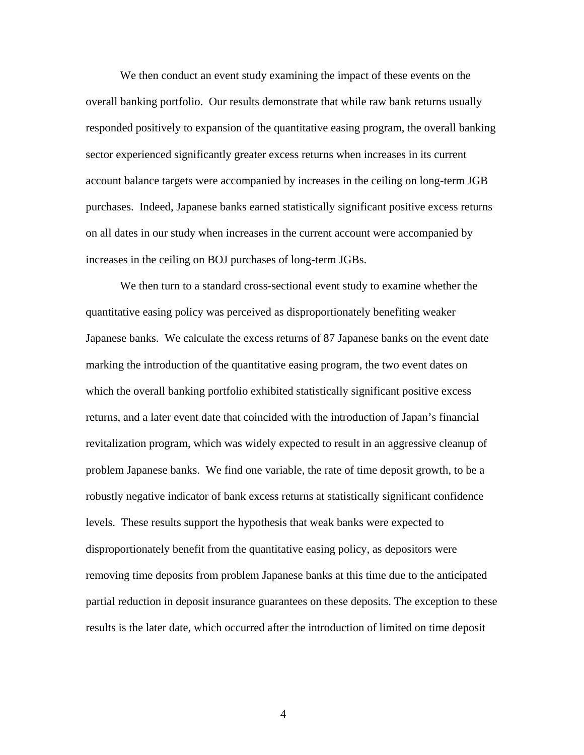We then conduct an event study examining the impact of these events on the overall banking portfolio. Our results demonstrate that while raw bank returns usually responded positively to expansion of the quantitative easing program, the overall banking sector experienced significantly greater excess returns when increases in its current account balance targets were accompanied by increases in the ceiling on long-term JGB purchases. Indeed, Japanese banks earned statistically significant positive excess returns on all dates in our study when increases in the current account were accompanied by increases in the ceiling on BOJ purchases of long-term JGBs.

 We then turn to a standard cross-sectional event study to examine whether the quantitative easing policy was perceived as disproportionately benefiting weaker Japanese banks. We calculate the excess returns of 87 Japanese banks on the event date marking the introduction of the quantitative easing program, the two event dates on which the overall banking portfolio exhibited statistically significant positive excess returns, and a later event date that coincided with the introduction of Japan's financial revitalization program, which was widely expected to result in an aggressive cleanup of problem Japanese banks. We find one variable, the rate of time deposit growth, to be a robustly negative indicator of bank excess returns at statistically significant confidence levels. These results support the hypothesis that weak banks were expected to disproportionately benefit from the quantitative easing policy, as depositors were removing time deposits from problem Japanese banks at this time due to the anticipated partial reduction in deposit insurance guarantees on these deposits. The exception to these results is the later date, which occurred after the introduction of limited on time deposit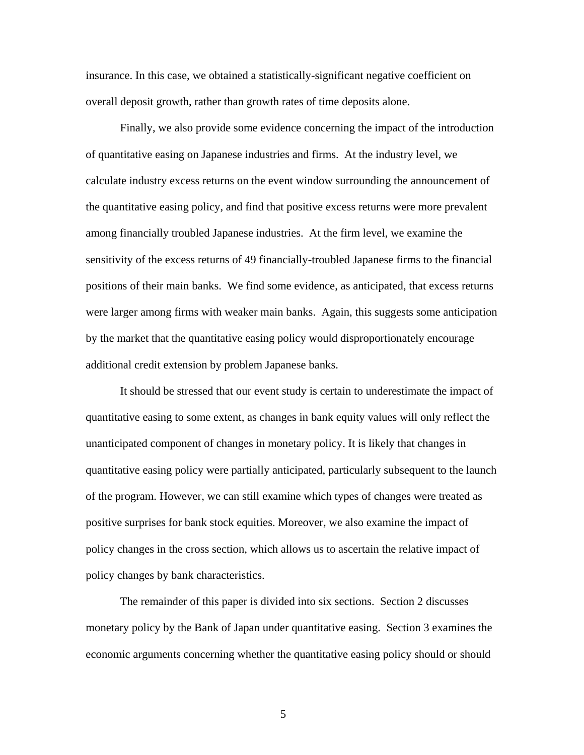insurance. In this case, we obtained a statistically-significant negative coefficient on overall deposit growth, rather than growth rates of time deposits alone.

 Finally, we also provide some evidence concerning the impact of the introduction of quantitative easing on Japanese industries and firms. At the industry level, we calculate industry excess returns on the event window surrounding the announcement of the quantitative easing policy, and find that positive excess returns were more prevalent among financially troubled Japanese industries. At the firm level, we examine the sensitivity of the excess returns of 49 financially-troubled Japanese firms to the financial positions of their main banks. We find some evidence, as anticipated, that excess returns were larger among firms with weaker main banks. Again, this suggests some anticipation by the market that the quantitative easing policy would disproportionately encourage additional credit extension by problem Japanese banks.

 It should be stressed that our event study is certain to underestimate the impact of quantitative easing to some extent, as changes in bank equity values will only reflect the unanticipated component of changes in monetary policy. It is likely that changes in quantitative easing policy were partially anticipated, particularly subsequent to the launch of the program. However, we can still examine which types of changes were treated as positive surprises for bank stock equities. Moreover, we also examine the impact of policy changes in the cross section, which allows us to ascertain the relative impact of policy changes by bank characteristics.

 The remainder of this paper is divided into six sections. Section 2 discusses monetary policy by the Bank of Japan under quantitative easing. Section 3 examines the economic arguments concerning whether the quantitative easing policy should or should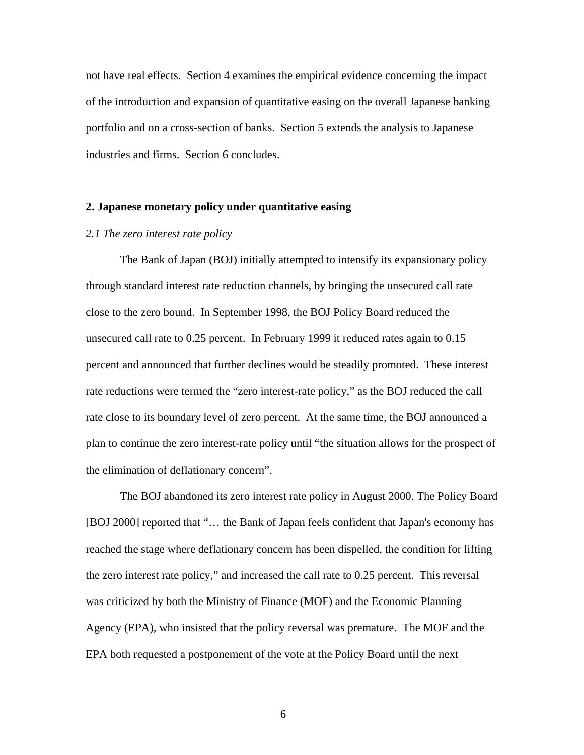not have real effects. Section 4 examines the empirical evidence concerning the impact of the introduction and expansion of quantitative easing on the overall Japanese banking portfolio and on a cross-section of banks. Section 5 extends the analysis to Japanese industries and firms. Section 6 concludes.

#### **2. Japanese monetary policy under quantitative easing**

#### *2.1 The zero interest rate policy*

 The Bank of Japan (BOJ) initially attempted to intensify its expansionary policy through standard interest rate reduction channels, by bringing the unsecured call rate close to the zero bound. In September 1998, the BOJ Policy Board reduced the unsecured call rate to 0.25 percent. In February 1999 it reduced rates again to 0.15 percent and announced that further declines would be steadily promoted. These interest rate reductions were termed the "zero interest-rate policy," as the BOJ reduced the call rate close to its boundary level of zero percent. At the same time, the BOJ announced a plan to continue the zero interest-rate policy until "the situation allows for the prospect of the elimination of deflationary concern".

 The BOJ abandoned its zero interest rate policy in August 2000. The Policy Board [BOJ 2000] reported that "... the Bank of Japan feels confident that Japan's economy has reached the stage where deflationary concern has been dispelled, the condition for lifting the zero interest rate policy," and increased the call rate to 0.25 percent. This reversal was criticized by both the Ministry of Finance (MOF) and the Economic Planning Agency (EPA), who insisted that the policy reversal was premature. The MOF and the EPA both requested a postponement of the vote at the Policy Board until the next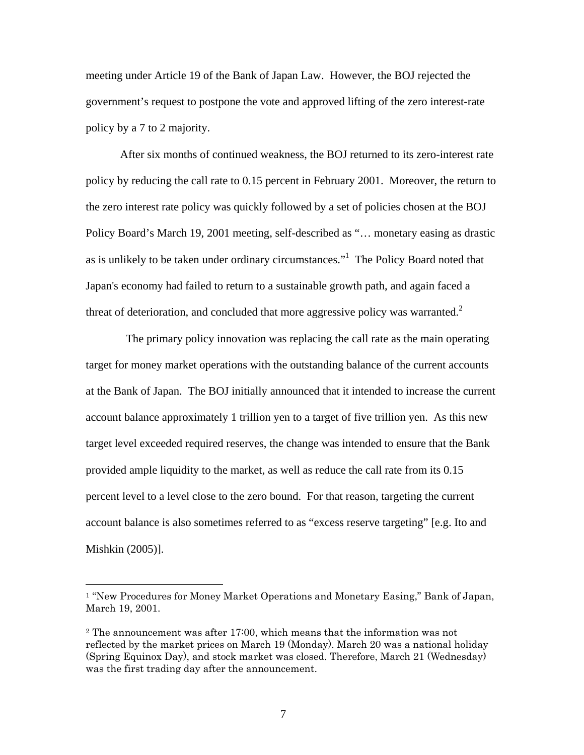meeting under Article 19 of the Bank of Japan Law. However, the BOJ rejected the government's request to postpone the vote and approved lifting of the zero interest-rate policy by a 7 to 2 majority.

After six months of continued weakness, the BOJ returned to its zero-interest rate policy by reducing the call rate to 0.15 percent in February 2001. Moreover, the return to the zero interest rate policy was quickly followed by a set of policies chosen at the BOJ Policy Board's March 19, 2001 meeting, self-described as "… monetary easing as drastic as is unlikely to be taken under ordinary circumstances."<sup>1</sup> The Policy Board noted that Japan's economy had failed to return to a sustainable growth path, and again faced a threat of deterioration, and concluded that more aggressive policy was warranted.<sup>2</sup>

The primary policy innovation was replacing the call rate as the main operating target for money market operations with the outstanding balance of the current accounts at the Bank of Japan. The BOJ initially announced that it intended to increase the current account balance approximately 1 trillion yen to a target of five trillion yen. As this new target level exceeded required reserves, the change was intended to ensure that the Bank provided ample liquidity to the market, as well as reduce the call rate from its 0.15 percent level to a level close to the zero bound. For that reason, targeting the current account balance is also sometimes referred to as "excess reserve targeting" [e.g. Ito and Mishkin (2005)].

<sup>1 &</sup>quot;New Procedures for Money Market Operations and Monetary Easing," Bank of Japan, March 19, 2001.

<sup>2</sup> The announcement was after 17:00, which means that the information was not reflected by the market prices on March 19 (Monday). March 20 was a national holiday (Spring Equinox Day), and stock market was closed. Therefore, March 21 (Wednesday) was the first trading day after the announcement.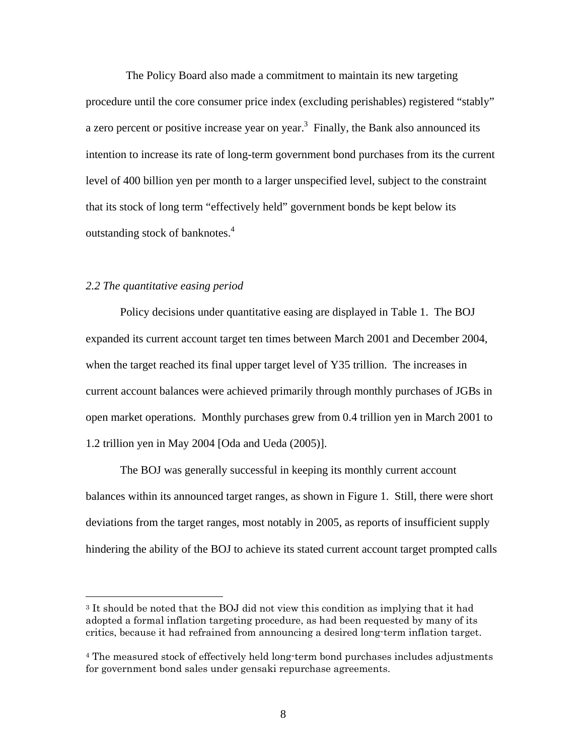The Policy Board also made a commitment to maintain its new targeting procedure until the core consumer price index (excluding perishables) registered "stably" a zero percent or positive increase year on year.<sup>3</sup> Finally, the Bank also announced its intention to increase its rate of long-term government bond purchases from its the current level of 400 billion yen per month to a larger unspecified level, subject to the constraint that its stock of long term "effectively held" government bonds be kept below its outstanding stock of banknotes.4

#### *2.2 The quantitative easing period*

<u>.</u>

 Policy decisions under quantitative easing are displayed in Table 1. The BOJ expanded its current account target ten times between March 2001 and December 2004, when the target reached its final upper target level of Y35 trillion. The increases in current account balances were achieved primarily through monthly purchases of JGBs in open market operations. Monthly purchases grew from 0.4 trillion yen in March 2001 to 1.2 trillion yen in May 2004 [Oda and Ueda (2005)].

 The BOJ was generally successful in keeping its monthly current account balances within its announced target ranges, as shown in Figure 1. Still, there were short deviations from the target ranges, most notably in 2005, as reports of insufficient supply hindering the ability of the BOJ to achieve its stated current account target prompted calls

<sup>3</sup> It should be noted that the BOJ did not view this condition as implying that it had adopted a formal inflation targeting procedure, as had been requested by many of its critics, because it had refrained from announcing a desired long-term inflation target.

<sup>&</sup>lt;sup>4</sup> The measured stock of effectively held long-term bond purchases includes adjustments for government bond sales under gensaki repurchase agreements.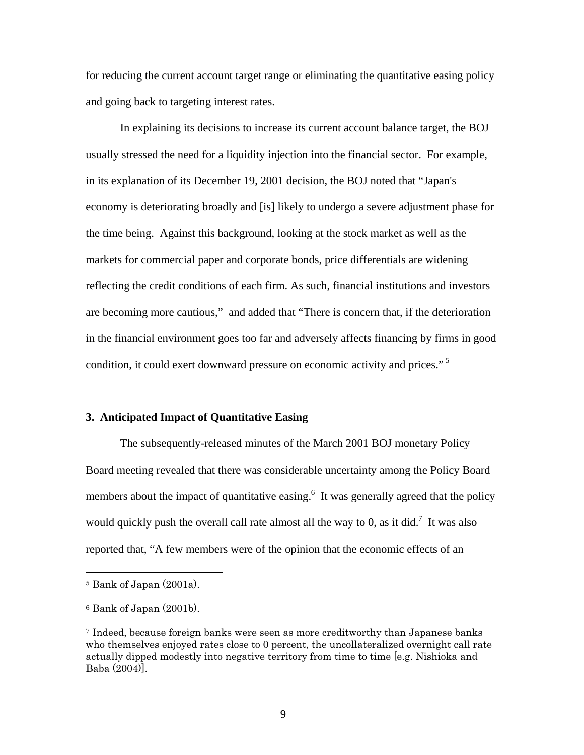for reducing the current account target range or eliminating the quantitative easing policy and going back to targeting interest rates.

In explaining its decisions to increase its current account balance target, the BOJ usually stressed the need for a liquidity injection into the financial sector. For example, in its explanation of its December 19, 2001 decision, the BOJ noted that "Japan's economy is deteriorating broadly and [is] likely to undergo a severe adjustment phase for the time being. Against this background, looking at the stock market as well as the markets for commercial paper and corporate bonds, price differentials are widening reflecting the credit conditions of each firm. As such, financial institutions and investors are becoming more cautious," and added that "There is concern that, if the deterioration in the financial environment goes too far and adversely affects financing by firms in good condition, it could exert downward pressure on economic activity and prices."<sup>5</sup>

#### **3. Anticipated Impact of Quantitative Easing**

 The subsequently-released minutes of the March 2001 BOJ monetary Policy Board meeting revealed that there was considerable uncertainty among the Policy Board members about the impact of quantitative easing.<sup>6</sup> It was generally agreed that the policy would quickly push the overall call rate almost all the way to 0, as it did.<sup>7</sup> It was also reported that, "A few members were of the opinion that the economic effects of an

<sup>5</sup> Bank of Japan (2001a).

<sup>6</sup> Bank of Japan (2001b).

<sup>7</sup> Indeed, because foreign banks were seen as more creditworthy than Japanese banks who themselves enjoyed rates close to 0 percent, the uncollateralized overnight call rate actually dipped modestly into negative territory from time to time [e.g. Nishioka and Baba (2004)].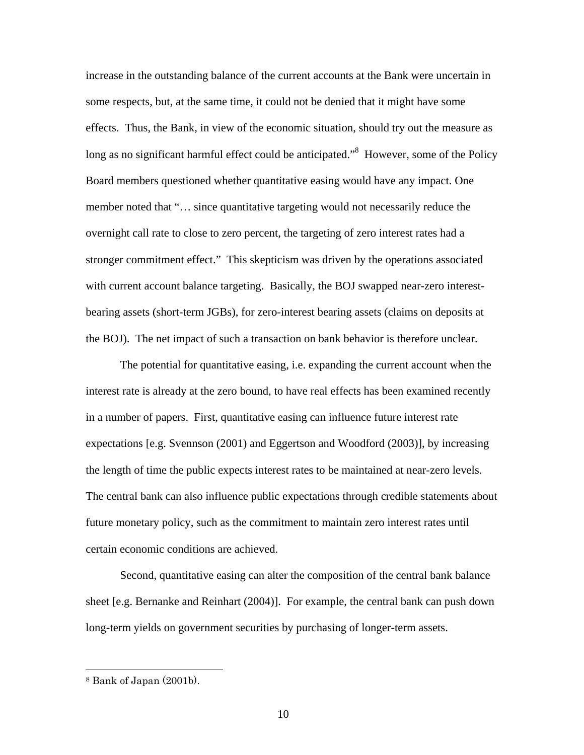increase in the outstanding balance of the current accounts at the Bank were uncertain in some respects, but, at the same time, it could not be denied that it might have some effects. Thus, the Bank, in view of the economic situation, should try out the measure as long as no significant harmful effect could be anticipated."<sup>8</sup> However, some of the Policy Board members questioned whether quantitative easing would have any impact. One member noted that "… since quantitative targeting would not necessarily reduce the overnight call rate to close to zero percent, the targeting of zero interest rates had a stronger commitment effect." This skepticism was driven by the operations associated with current account balance targeting. Basically, the BOJ swapped near-zero interestbearing assets (short-term JGBs), for zero-interest bearing assets (claims on deposits at the BOJ). The net impact of such a transaction on bank behavior is therefore unclear.

The potential for quantitative easing, i.e. expanding the current account when the interest rate is already at the zero bound, to have real effects has been examined recently in a number of papers. First, quantitative easing can influence future interest rate expectations [e.g. Svennson (2001) and Eggertson and Woodford (2003)], by increasing the length of time the public expects interest rates to be maintained at near-zero levels. The central bank can also influence public expectations through credible statements about future monetary policy, such as the commitment to maintain zero interest rates until certain economic conditions are achieved.

Second, quantitative easing can alter the composition of the central bank balance sheet [e.g. Bernanke and Reinhart (2004)]. For example, the central bank can push down long-term yields on government securities by purchasing of longer-term assets.

<sup>8</sup> Bank of Japan (2001b).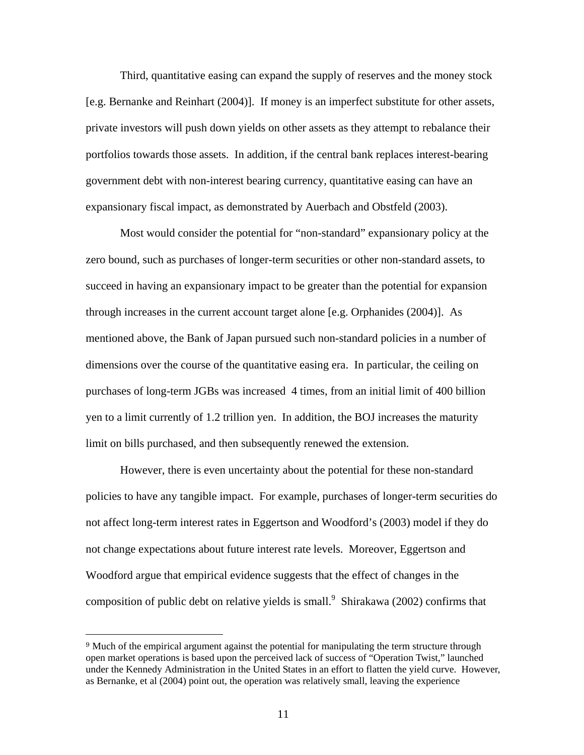Third, quantitative easing can expand the supply of reserves and the money stock [e.g. Bernanke and Reinhart (2004)]. If money is an imperfect substitute for other assets, private investors will push down yields on other assets as they attempt to rebalance their portfolios towards those assets. In addition, if the central bank replaces interest-bearing government debt with non-interest bearing currency, quantitative easing can have an expansionary fiscal impact, as demonstrated by Auerbach and Obstfeld (2003).

Most would consider the potential for "non-standard" expansionary policy at the zero bound, such as purchases of longer-term securities or other non-standard assets, to succeed in having an expansionary impact to be greater than the potential for expansion through increases in the current account target alone [e.g. Orphanides (2004)]. As mentioned above, the Bank of Japan pursued such non-standard policies in a number of dimensions over the course of the quantitative easing era. In particular, the ceiling on purchases of long-term JGBs was increased 4 times, from an initial limit of 400 billion yen to a limit currently of 1.2 trillion yen. In addition, the BOJ increases the maturity limit on bills purchased, and then subsequently renewed the extension.

However, there is even uncertainty about the potential for these non-standard policies to have any tangible impact. For example, purchases of longer-term securities do not affect long-term interest rates in Eggertson and Woodford's (2003) model if they do not change expectations about future interest rate levels. Moreover, Eggertson and Woodford argue that empirical evidence suggests that the effect of changes in the composition of public debt on relative yields is small.<sup>9</sup> Shirakawa (2002) confirms that

<sup>9</sup> Much of the empirical argument against the potential for manipulating the term structure through open market operations is based upon the perceived lack of success of "Operation Twist," launched under the Kennedy Administration in the United States in an effort to flatten the yield curve. However, as Bernanke, et al (2004) point out, the operation was relatively small, leaving the experience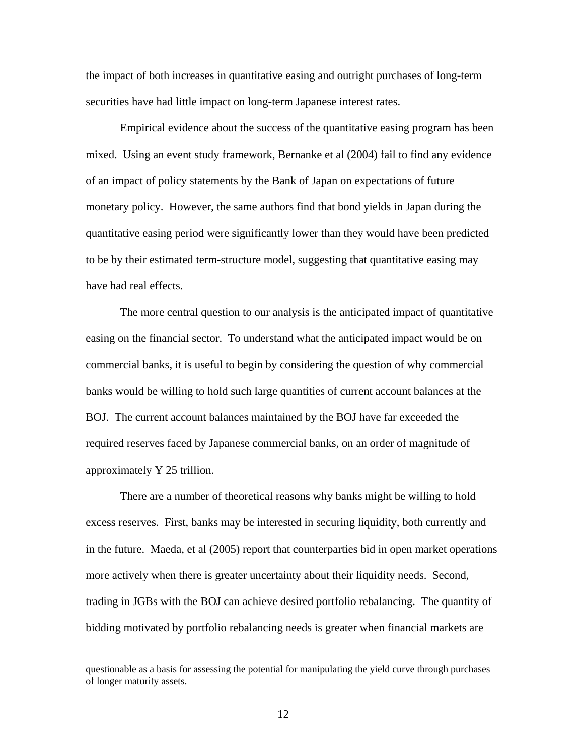the impact of both increases in quantitative easing and outright purchases of long-term securities have had little impact on long-term Japanese interest rates.

Empirical evidence about the success of the quantitative easing program has been mixed. Using an event study framework, Bernanke et al (2004) fail to find any evidence of an impact of policy statements by the Bank of Japan on expectations of future monetary policy. However, the same authors find that bond yields in Japan during the quantitative easing period were significantly lower than they would have been predicted to be by their estimated term-structure model, suggesting that quantitative easing may have had real effects.

The more central question to our analysis is the anticipated impact of quantitative easing on the financial sector. To understand what the anticipated impact would be on commercial banks, it is useful to begin by considering the question of why commercial banks would be willing to hold such large quantities of current account balances at the BOJ. The current account balances maintained by the BOJ have far exceeded the required reserves faced by Japanese commercial banks, on an order of magnitude of approximately Y 25 trillion.

There are a number of theoretical reasons why banks might be willing to hold excess reserves. First, banks may be interested in securing liquidity, both currently and in the future. Maeda, et al (2005) report that counterparties bid in open market operations more actively when there is greater uncertainty about their liquidity needs. Second, trading in JGBs with the BOJ can achieve desired portfolio rebalancing. The quantity of bidding motivated by portfolio rebalancing needs is greater when financial markets are

questionable as a basis for assessing the potential for manipulating the yield curve through purchases of longer maturity assets.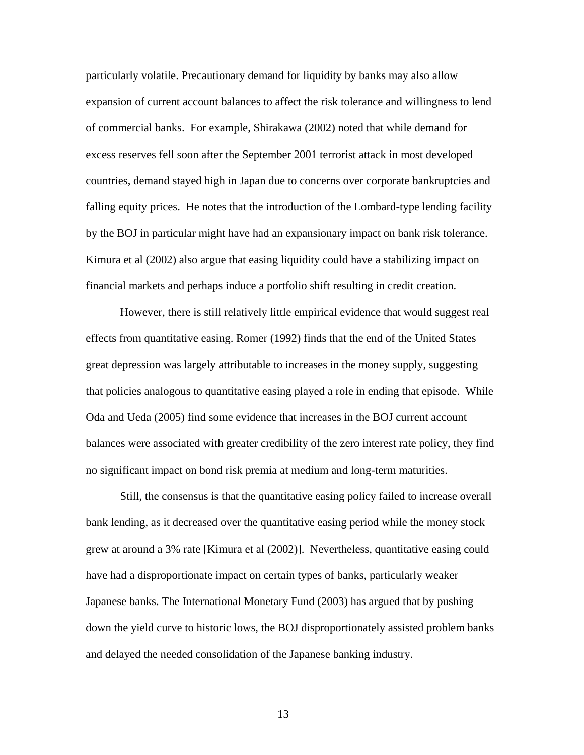particularly volatile. Precautionary demand for liquidity by banks may also allow expansion of current account balances to affect the risk tolerance and willingness to lend of commercial banks. For example, Shirakawa (2002) noted that while demand for excess reserves fell soon after the September 2001 terrorist attack in most developed countries, demand stayed high in Japan due to concerns over corporate bankruptcies and falling equity prices. He notes that the introduction of the Lombard-type lending facility by the BOJ in particular might have had an expansionary impact on bank risk tolerance. Kimura et al (2002) also argue that easing liquidity could have a stabilizing impact on financial markets and perhaps induce a portfolio shift resulting in credit creation.

However, there is still relatively little empirical evidence that would suggest real effects from quantitative easing. Romer (1992) finds that the end of the United States great depression was largely attributable to increases in the money supply, suggesting that policies analogous to quantitative easing played a role in ending that episode. While Oda and Ueda (2005) find some evidence that increases in the BOJ current account balances were associated with greater credibility of the zero interest rate policy, they find no significant impact on bond risk premia at medium and long-term maturities.

Still, the consensus is that the quantitative easing policy failed to increase overall bank lending, as it decreased over the quantitative easing period while the money stock grew at around a 3% rate [Kimura et al (2002)]. Nevertheless, quantitative easing could have had a disproportionate impact on certain types of banks, particularly weaker Japanese banks. The International Monetary Fund (2003) has argued that by pushing down the yield curve to historic lows, the BOJ disproportionately assisted problem banks and delayed the needed consolidation of the Japanese banking industry.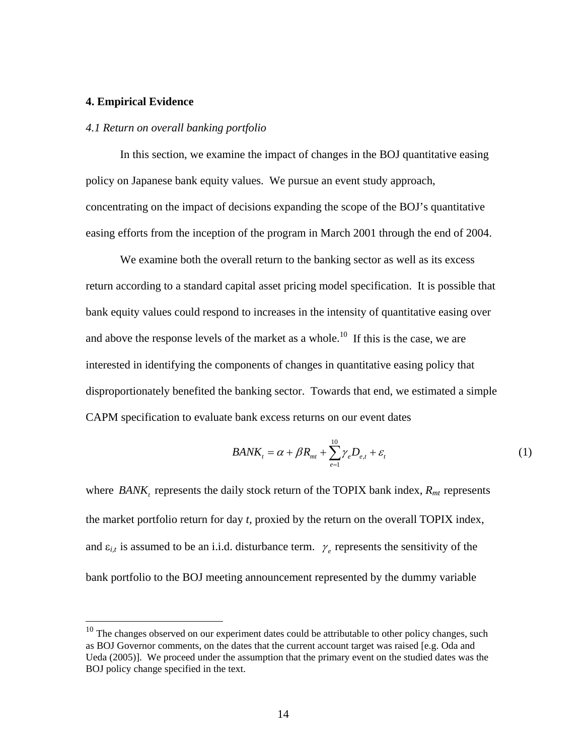#### **4. Empirical Evidence**

1

#### *4.1 Return on overall banking portfolio*

In this section, we examine the impact of changes in the BOJ quantitative easing policy on Japanese bank equity values. We pursue an event study approach, concentrating on the impact of decisions expanding the scope of the BOJ's quantitative easing efforts from the inception of the program in March 2001 through the end of 2004.

We examine both the overall return to the banking sector as well as its excess return according to a standard capital asset pricing model specification. It is possible that bank equity values could respond to increases in the intensity of quantitative easing over and above the response levels of the market as a whole.<sup>10</sup> If this is the case, we are interested in identifying the components of changes in quantitative easing policy that disproportionately benefited the banking sector. Towards that end, we estimated a simple CAPM specification to evaluate bank excess returns on our event dates

$$
BANK_t = \alpha + \beta R_{mt} + \sum_{e=1}^{10} \gamma_e D_{e,t} + \varepsilon_t
$$
 (1)

where *BANK*, represents the daily stock return of the TOPIX bank index,  $R_{mt}$  represents the market portfolio return for day *t,* proxied by the return on the overall TOPIX index, and  $\varepsilon_{i,t}$  is assumed to be an i.i.d. disturbance term.  $\gamma_e$  represents the sensitivity of the bank portfolio to the BOJ meeting announcement represented by the dummy variable

 $10$  The changes observed on our experiment dates could be attributable to other policy changes, such as BOJ Governor comments, on the dates that the current account target was raised [e.g. Oda and Ueda (2005)]. We proceed under the assumption that the primary event on the studied dates was the BOJ policy change specified in the text.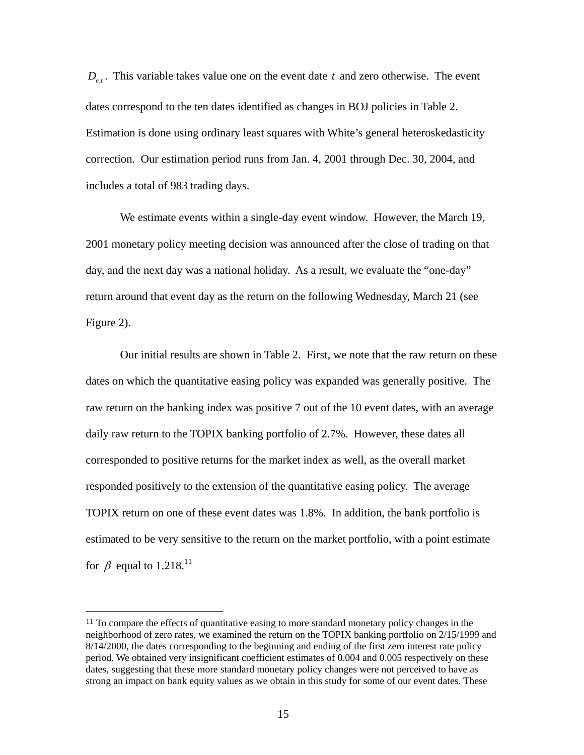$D_{\epsilon t}$ . This variable takes value one on the event date *t* and zero otherwise. The event dates correspond to the ten dates identified as changes in BOJ policies in Table 2. Estimation is done using ordinary least squares with White's general heteroskedasticity correction. Our estimation period runs from Jan. 4, 2001 through Dec. 30, 2004, and includes a total of 983 trading days.

We estimate events within a single-day event window. However, the March 19, 2001 monetary policy meeting decision was announced after the close of trading on that day, and the next day was a national holiday. As a result, we evaluate the "one-day" return around that event day as the return on the following Wednesday, March 21 (see Figure 2).

Our initial results are shown in Table 2. First, we note that the raw return on these dates on which the quantitative easing policy was expanded was generally positive. The raw return on the banking index was positive 7 out of the 10 event dates, with an average daily raw return to the TOPIX banking portfolio of 2.7%. However, these dates all corresponded to positive returns for the market index as well, as the overall market responded positively to the extension of the quantitative easing policy. The average TOPIX return on one of these event dates was 1.8%. In addition, the bank portfolio is estimated to be very sensitive to the return on the market portfolio, with a point estimate for  $\beta$  equal to 1.218.<sup>11</sup>

<sup>&</sup>lt;sup>11</sup> To compare the effects of quantitative easing to more standard monetary policy changes in the neighborhood of zero rates, we examined the return on the TOPIX banking portfolio on 2/15/1999 and 8/14/2000, the dates corresponding to the beginning and ending of the first zero interest rate policy period. We obtained very insignificant coefficient estimates of 0.004 and 0.005 respectively on these dates, suggesting that these more standard monetary policy changes were not perceived to have as strong an impact on bank equity values as we obtain in this study for some of our event dates. These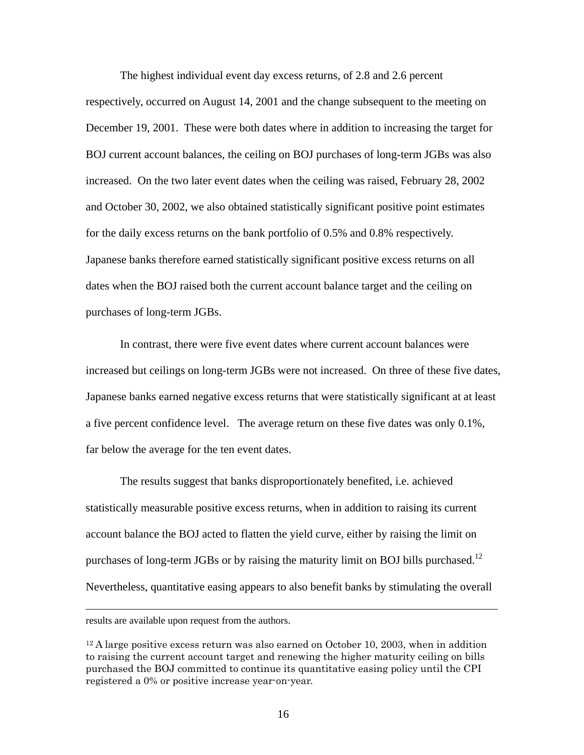The highest individual event day excess returns, of 2.8 and 2.6 percent respectively, occurred on August 14, 2001 and the change subsequent to the meeting on December 19, 2001. These were both dates where in addition to increasing the target for BOJ current account balances, the ceiling on BOJ purchases of long-term JGBs was also increased. On the two later event dates when the ceiling was raised, February 28, 2002 and October 30, 2002, we also obtained statistically significant positive point estimates for the daily excess returns on the bank portfolio of 0.5% and 0.8% respectively. Japanese banks therefore earned statistically significant positive excess returns on all dates when the BOJ raised both the current account balance target and the ceiling on purchases of long-term JGBs.

In contrast, there were five event dates where current account balances were increased but ceilings on long-term JGBs were not increased. On three of these five dates, Japanese banks earned negative excess returns that were statistically significant at at least a five percent confidence level. The average return on these five dates was only 0.1%, far below the average for the ten event dates.

The results suggest that banks disproportionately benefited, i.e. achieved statistically measurable positive excess returns, when in addition to raising its current account balance the BOJ acted to flatten the yield curve, either by raising the limit on purchases of long-term JGBs or by raising the maturity limit on BOJ bills purchased.<sup>12</sup> Nevertheless, quantitative easing appears to also benefit banks by stimulating the overall

results are available upon request from the authors.

 $12$  A large positive excess return was also earned on October 10, 2003, when in addition to raising the current account target and renewing the higher maturity ceiling on bills purchased the BOJ committed to continue its quantitative easing policy until the CPI registered a 0% or positive increase year-on-year.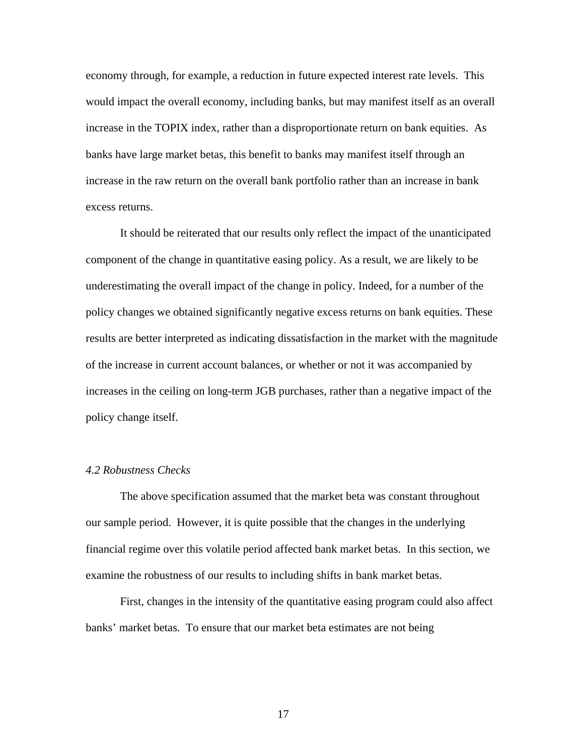economy through, for example, a reduction in future expected interest rate levels. This would impact the overall economy, including banks, but may manifest itself as an overall increase in the TOPIX index, rather than a disproportionate return on bank equities. As banks have large market betas, this benefit to banks may manifest itself through an increase in the raw return on the overall bank portfolio rather than an increase in bank excess returns.

It should be reiterated that our results only reflect the impact of the unanticipated component of the change in quantitative easing policy. As a result, we are likely to be underestimating the overall impact of the change in policy. Indeed, for a number of the policy changes we obtained significantly negative excess returns on bank equities. These results are better interpreted as indicating dissatisfaction in the market with the magnitude of the increase in current account balances, or whether or not it was accompanied by increases in the ceiling on long-term JGB purchases, rather than a negative impact of the policy change itself.

#### *4.2 Robustness Checks*

 The above specification assumed that the market beta was constant throughout our sample period. However, it is quite possible that the changes in the underlying financial regime over this volatile period affected bank market betas. In this section, we examine the robustness of our results to including shifts in bank market betas.

 First, changes in the intensity of the quantitative easing program could also affect banks' market betas. To ensure that our market beta estimates are not being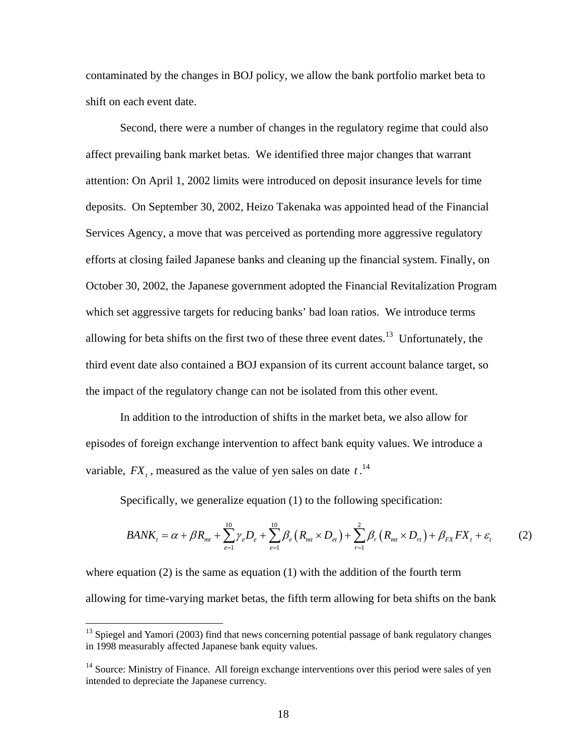contaminated by the changes in BOJ policy, we allow the bank portfolio market beta to shift on each event date.

Second, there were a number of changes in the regulatory regime that could also affect prevailing bank market betas. We identified three major changes that warrant attention: On April 1, 2002 limits were introduced on deposit insurance levels for time deposits. On September 30, 2002, Heizo Takenaka was appointed head of the Financial Services Agency, a move that was perceived as portending more aggressive regulatory efforts at closing failed Japanese banks and cleaning up the financial system. Finally, on October 30, 2002, the Japanese government adopted the Financial Revitalization Program which set aggressive targets for reducing banks' bad loan ratios. We introduce terms allowing for beta shifts on the first two of these three event dates.<sup>13</sup> Unfortunately, the third event date also contained a BOJ expansion of its current account balance target, so the impact of the regulatory change can not be isolated from this other event.

In addition to the introduction of shifts in the market beta, we also allow for episodes of foreign exchange intervention to affect bank equity values. We introduce a variable,  $FX_t$ , measured as the value of yen sales on date  $t$ .<sup>14</sup>

Specifically, we generalize equation (1) to the following specification:

$$
BANK_t = \alpha + \beta R_{mt} + \sum_{e=1}^{10} \gamma_e D_e + \sum_{e=1}^{10} \beta_e (R_{mt} \times D_{et}) + \sum_{r=1}^{2} \beta_r (R_{mt} \times D_{rt}) + \beta_{FX} FX_t + \varepsilon_t
$$
 (2)

where equation  $(2)$  is the same as equation  $(1)$  with the addition of the fourth term allowing for time-varying market betas, the fifth term allowing for beta shifts on the bank

 $13$  Spiegel and Yamori (2003) find that news concerning potential passage of bank regulatory changes in 1998 measurably affected Japanese bank equity values.

 $14$  Source: Ministry of Finance. All foreign exchange interventions over this period were sales of yen intended to depreciate the Japanese currency.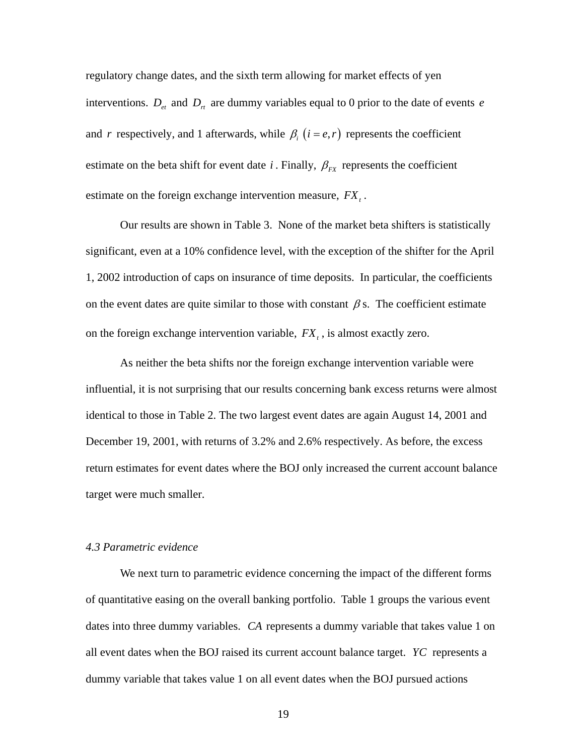regulatory change dates, and the sixth term allowing for market effects of yen interventions.  $D_{et}$  and  $D_{rt}$  are dummy variables equal to 0 prior to the date of events *e* and *r* respectively, and 1 afterwards, while  $\beta_i$  ( $i = e, r$ ) represents the coefficient estimate on the beta shift for event date *i*. Finally,  $\beta_{rx}$  represents the coefficient estimate on the foreign exchange intervention measure,  $FX_t$ .

 Our results are shown in Table 3. None of the market beta shifters is statistically significant, even at a 10% confidence level, with the exception of the shifter for the April 1, 2002 introduction of caps on insurance of time deposits. In particular, the coefficients on the event dates are quite similar to those with constant  $\beta$  s. The coefficient estimate on the foreign exchange intervention variable,  $FX_t$ , is almost exactly zero.

As neither the beta shifts nor the foreign exchange intervention variable were influential, it is not surprising that our results concerning bank excess returns were almost identical to those in Table 2. The two largest event dates are again August 14, 2001 and December 19, 2001, with returns of 3.2% and 2.6% respectively. As before, the excess return estimates for event dates where the BOJ only increased the current account balance target were much smaller.

### *4.3 Parametric evidence*

We next turn to parametric evidence concerning the impact of the different forms of quantitative easing on the overall banking portfolio. Table 1 groups the various event dates into three dummy variables. *CA* represents a dummy variable that takes value 1 on all event dates when the BOJ raised its current account balance target. *YC* represents a dummy variable that takes value 1 on all event dates when the BOJ pursued actions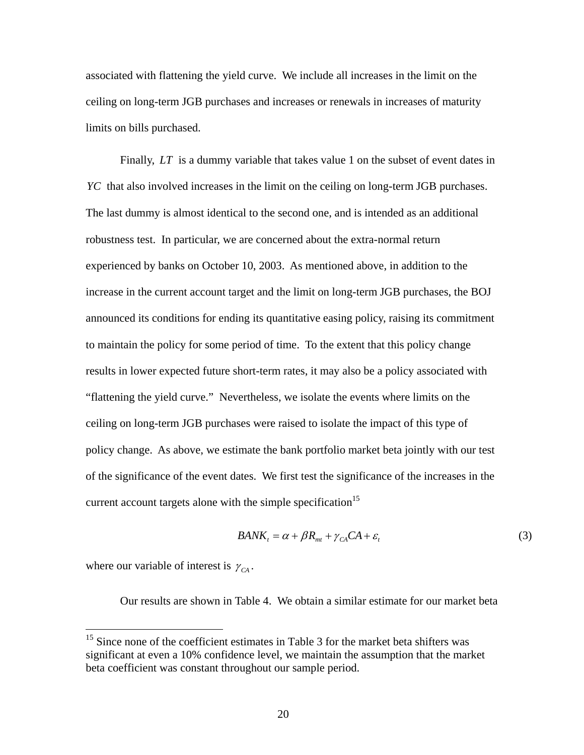associated with flattening the yield curve. We include all increases in the limit on the ceiling on long-term JGB purchases and increases or renewals in increases of maturity limits on bills purchased.

Finally, *LT* is a dummy variable that takes value 1 on the subset of event dates in *YC* that also involved increases in the limit on the ceiling on long-term JGB purchases. The last dummy is almost identical to the second one, and is intended as an additional robustness test. In particular, we are concerned about the extra-normal return experienced by banks on October 10, 2003. As mentioned above, in addition to the increase in the current account target and the limit on long-term JGB purchases, the BOJ announced its conditions for ending its quantitative easing policy, raising its commitment to maintain the policy for some period of time. To the extent that this policy change results in lower expected future short-term rates, it may also be a policy associated with "flattening the yield curve." Nevertheless, we isolate the events where limits on the ceiling on long-term JGB purchases were raised to isolate the impact of this type of policy change. As above, we estimate the bank portfolio market beta jointly with our test of the significance of the event dates. We first test the significance of the increases in the current account targets alone with the simple specification<sup>15</sup>

$$
BANK_t = \alpha + \beta R_{mt} + \gamma_{CA}CA + \varepsilon_t
$$
\n(3)

where our variable of interest is  $\gamma_{CA}$ .

 $\overline{a}$ 

Our results are shown in Table 4. We obtain a similar estimate for our market beta

<sup>&</sup>lt;sup>15</sup> Since none of the coefficient estimates in Table 3 for the market beta shifters was significant at even a 10% confidence level, we maintain the assumption that the market beta coefficient was constant throughout our sample period.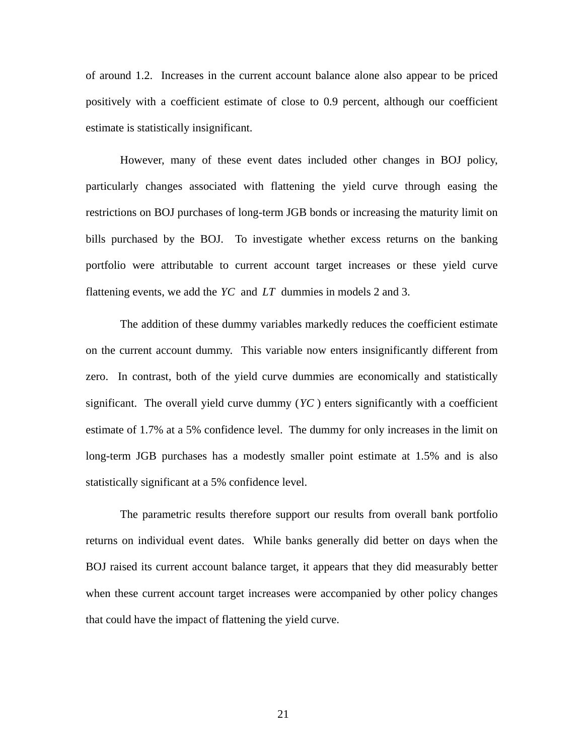of around 1.2. Increases in the current account balance alone also appear to be priced positively with a coefficient estimate of close to 0.9 percent, although our coefficient estimate is statistically insignificant.

 However, many of these event dates included other changes in BOJ policy, particularly changes associated with flattening the yield curve through easing the restrictions on BOJ purchases of long-term JGB bonds or increasing the maturity limit on bills purchased by the BOJ. To investigate whether excess returns on the banking portfolio were attributable to current account target increases or these yield curve flattening events, we add the *YC* and *LT* dummies in models 2 and 3.

 The addition of these dummy variables markedly reduces the coefficient estimate on the current account dummy. This variable now enters insignificantly different from zero. In contrast, both of the yield curve dummies are economically and statistically significant. The overall yield curve dummy (*YC* ) enters significantly with a coefficient estimate of 1.7% at a 5% confidence level. The dummy for only increases in the limit on long-term JGB purchases has a modestly smaller point estimate at 1.5% and is also statistically significant at a 5% confidence level.

 The parametric results therefore support our results from overall bank portfolio returns on individual event dates. While banks generally did better on days when the BOJ raised its current account balance target, it appears that they did measurably better when these current account target increases were accompanied by other policy changes that could have the impact of flattening the yield curve.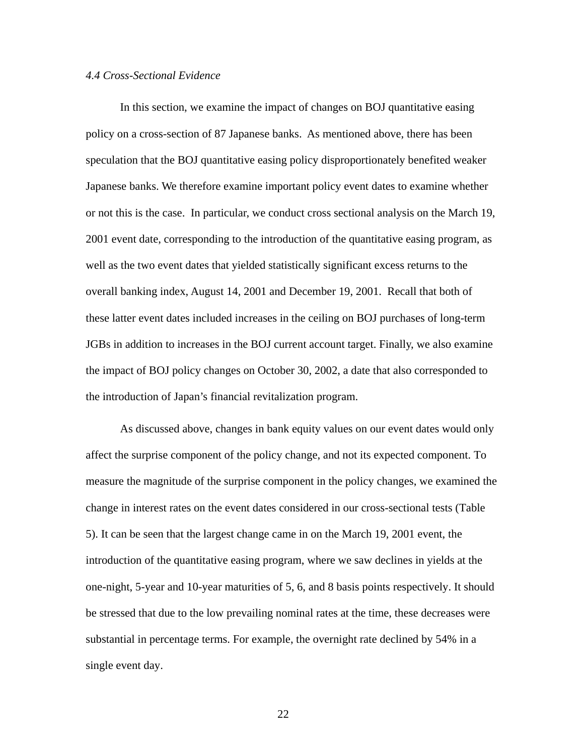#### *4.4 Cross-Sectional Evidence*

In this section, we examine the impact of changes on BOJ quantitative easing policy on a cross-section of 87 Japanese banks. As mentioned above, there has been speculation that the BOJ quantitative easing policy disproportionately benefited weaker Japanese banks. We therefore examine important policy event dates to examine whether or not this is the case. In particular, we conduct cross sectional analysis on the March 19, 2001 event date, corresponding to the introduction of the quantitative easing program, as well as the two event dates that yielded statistically significant excess returns to the overall banking index, August 14, 2001 and December 19, 2001. Recall that both of these latter event dates included increases in the ceiling on BOJ purchases of long-term JGBs in addition to increases in the BOJ current account target. Finally, we also examine the impact of BOJ policy changes on October 30, 2002, a date that also corresponded to the introduction of Japan's financial revitalization program.

 As discussed above, changes in bank equity values on our event dates would only affect the surprise component of the policy change, and not its expected component. To measure the magnitude of the surprise component in the policy changes, we examined the change in interest rates on the event dates considered in our cross-sectional tests (Table 5). It can be seen that the largest change came in on the March 19, 2001 event, the introduction of the quantitative easing program, where we saw declines in yields at the one-night, 5-year and 10-year maturities of 5, 6, and 8 basis points respectively. It should be stressed that due to the low prevailing nominal rates at the time, these decreases were substantial in percentage terms. For example, the overnight rate declined by 54% in a single event day.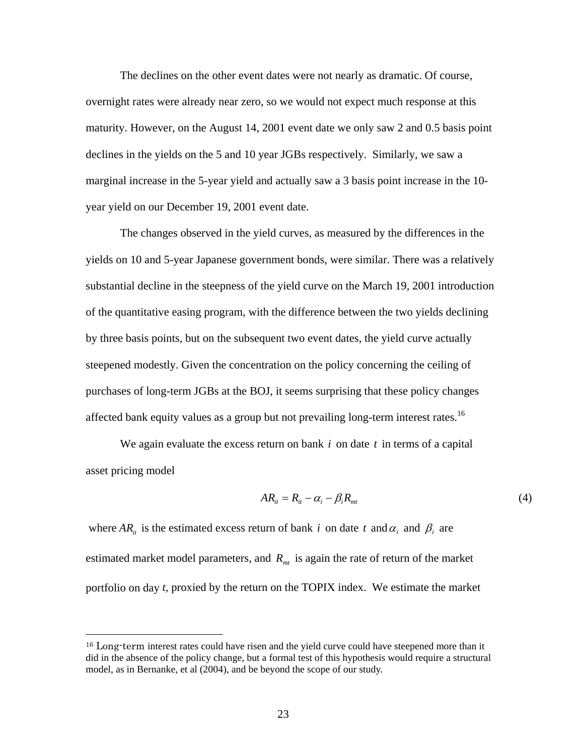The declines on the other event dates were not nearly as dramatic. Of course, overnight rates were already near zero, so we would not expect much response at this maturity. However, on the August 14, 2001 event date we only saw 2 and 0.5 basis point declines in the yields on the 5 and 10 year JGBs respectively. Similarly, we saw a marginal increase in the 5-year yield and actually saw a 3 basis point increase in the 10 year yield on our December 19, 2001 event date.

 The changes observed in the yield curves, as measured by the differences in the yields on 10 and 5-year Japanese government bonds, were similar. There was a relatively substantial decline in the steepness of the yield curve on the March 19, 2001 introduction of the quantitative easing program, with the difference between the two yields declining by three basis points, but on the subsequent two event dates, the yield curve actually steepened modestly. Given the concentration on the policy concerning the ceiling of purchases of long-term JGBs at the BOJ, it seems surprising that these policy changes affected bank equity values as a group but not prevailing long-term interest rates.<sup>16</sup>

 We again evaluate the excess return on bank *i* on date *t* in terms of a capital asset pricing model

$$
AR_{it} = R_{it} - \alpha_i - \beta_i R_{mt} \tag{4}
$$

where  $AR_i$  is the estimated excess return of bank *i* on date *t* and  $\alpha_i$  and  $\beta_i$  are estimated market model parameters, and  $R<sub>mt</sub>$  is again the rate of return of the market portfolio on day *t,* proxied by the return on the TOPIX index. We estimate the market

<sup>&</sup>lt;sup>16</sup> Long-term interest rates could have risen and the yield curve could have steepened more than it did in the absence of the policy change, but a formal test of this hypothesis would require a structural model, as in Bernanke, et al (2004), and be beyond the scope of our study.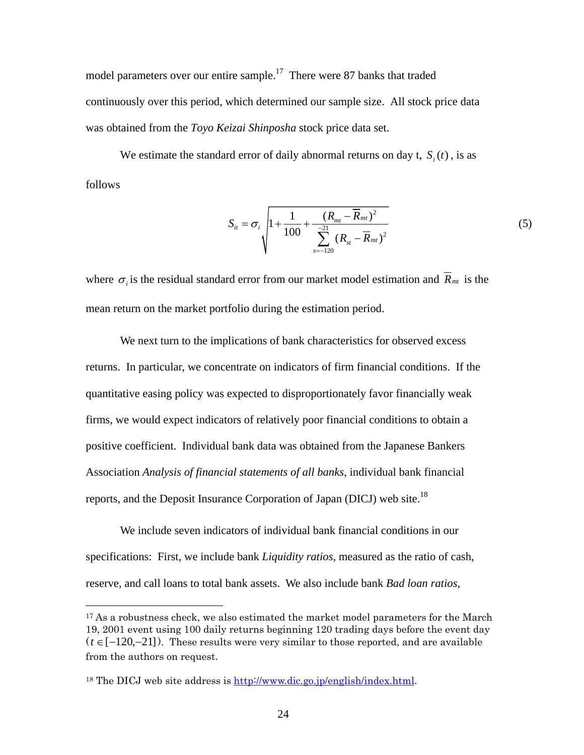model parameters over our entire sample.<sup>17</sup> There were 87 banks that traded continuously over this period, which determined our sample size. All stock price data was obtained from the *Toyo Keizai Shinposha* stock price data set.

We estimate the standard error of daily abnormal returns on day t,  $S<sub>i</sub>(t)$ , is as follows

$$
S_{it} = \sigma_i \sqrt{1 + \frac{1}{100} + \frac{(R_{mt} - \overline{R}_{mt})^2}{\sum_{s=-120}^{21} (R_{st} - \overline{R}_{mt})^2}}
$$
(5)

where  $\sigma_i$  is the residual standard error from our market model estimation and  $\bar{R}_{mt}$  is the mean return on the market portfolio during the estimation period.

 We next turn to the implications of bank characteristics for observed excess returns. In particular, we concentrate on indicators of firm financial conditions. If the quantitative easing policy was expected to disproportionately favor financially weak firms, we would expect indicators of relatively poor financial conditions to obtain a positive coefficient. Individual bank data was obtained from the Japanese Bankers Association *Analysis of financial statements of all banks*, individual bank financial reports, and the Deposit Insurance Corporation of Japan (DICJ) web site.<sup>18</sup>

 We include seven indicators of individual bank financial conditions in our specifications: First, we include bank *Liquidity ratios,* measured as the ratio of cash, reserve, and call loans to total bank assets. We also include bank *Bad loan ratios,*

<sup>&</sup>lt;sup>17</sup> As a robustness check, we also estimated the market model parameters for the March 19, 2001 event using 100 daily returns beginning 120 trading days before the event day (*t* ∈[−120,−21]). These results were very similar to those reported, and are available from the authors on request.

<sup>18</sup> The DICJ web site address is http://www.dic.go.jp/english/index.html.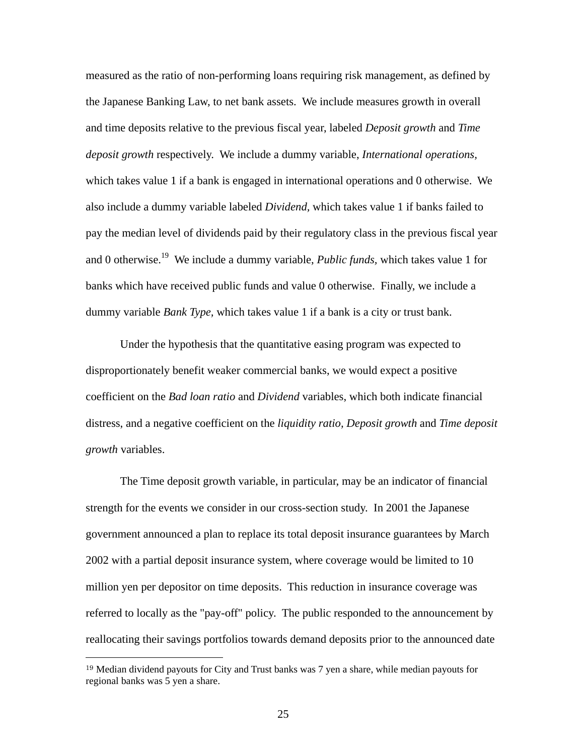measured as the ratio of non-performing loans requiring risk management, as defined by the Japanese Banking Law, to net bank assets. We include measures growth in overall and time deposits relative to the previous fiscal year, labeled *Deposit growth* and *Time deposit growth* respectively. We include a dummy variable, *International operations,*  which takes value 1 if a bank is engaged in international operations and 0 otherwise. We also include a dummy variable labeled *Dividend,* which takes value 1 if banks failed to pay the median level of dividends paid by their regulatory class in the previous fiscal year and 0 otherwise.19 We include a dummy variable, *Public funds,* which takes value 1 for banks which have received public funds and value 0 otherwise. Finally, we include a dummy variable *Bank Type,* which takes value 1 if a bank is a city or trust bank.

 Under the hypothesis that the quantitative easing program was expected to disproportionately benefit weaker commercial banks, we would expect a positive coefficient on the *Bad loan ratio* and *Dividend* variables, which both indicate financial distress, and a negative coefficient on the *liquidity ratio, Deposit growth* and *Time deposit growth* variables.

 The Time deposit growth variable, in particular, may be an indicator of financial strength for the events we consider in our cross-section study. In 2001 the Japanese government announced a plan to replace its total deposit insurance guarantees by March 2002 with a partial deposit insurance system, where coverage would be limited to 10 million yen per depositor on time deposits. This reduction in insurance coverage was referred to locally as the "pay-off" policy. The public responded to the announcement by reallocating their savings portfolios towards demand deposits prior to the announced date

<sup>19</sup> Median dividend payouts for City and Trust banks was 7 yen a share, while median payouts for regional banks was 5 yen a share.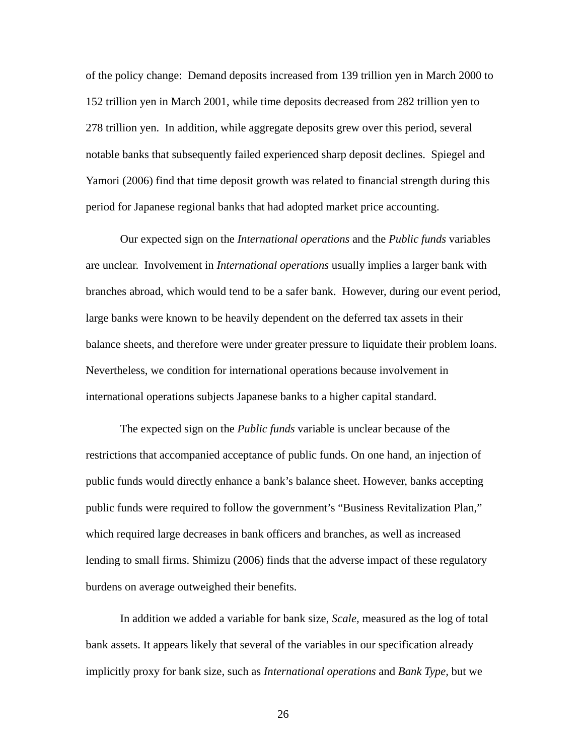of the policy change: Demand deposits increased from 139 trillion yen in March 2000 to 152 trillion yen in March 2001, while time deposits decreased from 282 trillion yen to 278 trillion yen. In addition, while aggregate deposits grew over this period, several notable banks that subsequently failed experienced sharp deposit declines. Spiegel and Yamori (2006) find that time deposit growth was related to financial strength during this period for Japanese regional banks that had adopted market price accounting.

Our expected sign on the *International operations* and the *Public funds* variables are unclear. Involvement in *International operations* usually implies a larger bank with branches abroad, which would tend to be a safer bank. However, during our event period, large banks were known to be heavily dependent on the deferred tax assets in their balance sheets, and therefore were under greater pressure to liquidate their problem loans. Nevertheless, we condition for international operations because involvement in international operations subjects Japanese banks to a higher capital standard.

The expected sign on the *Public funds* variable is unclear because of the restrictions that accompanied acceptance of public funds. On one hand, an injection of public funds would directly enhance a bank's balance sheet. However, banks accepting public funds were required to follow the government's "Business Revitalization Plan," which required large decreases in bank officers and branches, as well as increased lending to small firms. Shimizu (2006) finds that the adverse impact of these regulatory burdens on average outweighed their benefits.

In addition we added a variable for bank size, *Scale,* measured as the log of total bank assets. It appears likely that several of the variables in our specification already implicitly proxy for bank size, such as *International operations* and *Bank Type,* but we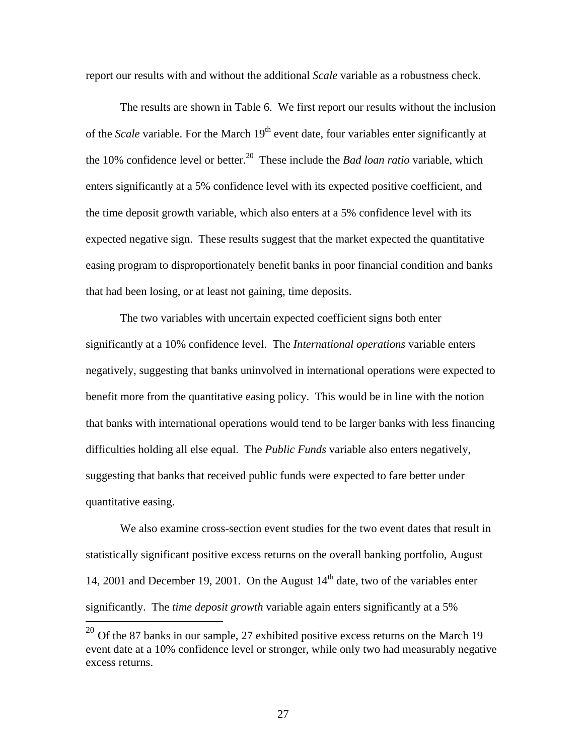report our results with and without the additional *Scale* variable as a robustness check.

The results are shown in Table 6. We first report our results without the inclusion of the *Scale* variable. For the March 19<sup>th</sup> event date, four variables enter significantly at the 10% confidence level or better.<sup>20</sup> These include the *Bad loan ratio* variable, which enters significantly at a 5% confidence level with its expected positive coefficient, and the time deposit growth variable, which also enters at a 5% confidence level with its expected negative sign. These results suggest that the market expected the quantitative easing program to disproportionately benefit banks in poor financial condition and banks that had been losing, or at least not gaining, time deposits.

The two variables with uncertain expected coefficient signs both enter significantly at a 10% confidence level. The *International operations* variable enters negatively, suggesting that banks uninvolved in international operations were expected to benefit more from the quantitative easing policy. This would be in line with the notion that banks with international operations would tend to be larger banks with less financing difficulties holding all else equal. The *Public Funds* variable also enters negatively, suggesting that banks that received public funds were expected to fare better under quantitative easing.

We also examine cross-section event studies for the two event dates that result in statistically significant positive excess returns on the overall banking portfolio, August 14, 2001 and December 19, 2001. On the August  $14<sup>th</sup>$  date, two of the variables enter significantly. The *time deposit growth* variable again enters significantly at a 5%

 $^{20}$  Of the 87 banks in our sample, 27 exhibited positive excess returns on the March 19 event date at a 10% confidence level or stronger, while only two had measurably negative excess returns.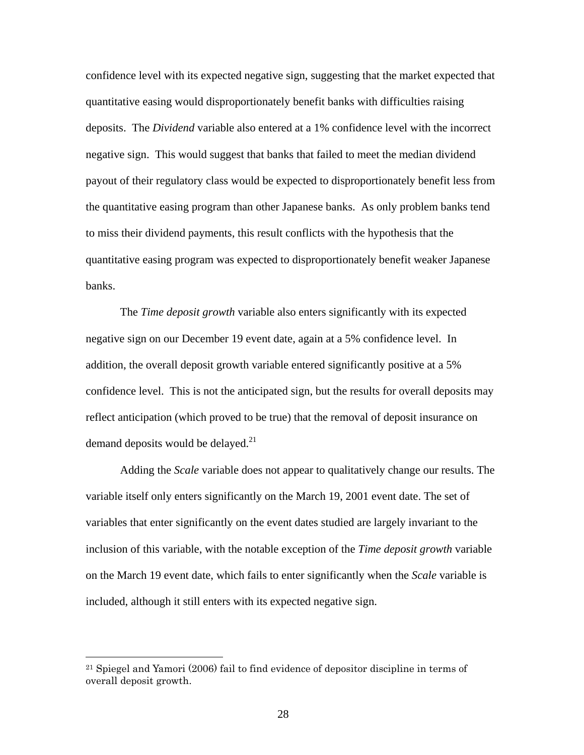confidence level with its expected negative sign, suggesting that the market expected that quantitative easing would disproportionately benefit banks with difficulties raising deposits. The *Dividend* variable also entered at a 1% confidence level with the incorrect negative sign. This would suggest that banks that failed to meet the median dividend payout of their regulatory class would be expected to disproportionately benefit less from the quantitative easing program than other Japanese banks. As only problem banks tend to miss their dividend payments, this result conflicts with the hypothesis that the quantitative easing program was expected to disproportionately benefit weaker Japanese banks.

The *Time deposit growth* variable also enters significantly with its expected negative sign on our December 19 event date, again at a 5% confidence level. In addition, the overall deposit growth variable entered significantly positive at a 5% confidence level. This is not the anticipated sign, but the results for overall deposits may reflect anticipation (which proved to be true) that the removal of deposit insurance on demand deposits would be delayed.<sup>21</sup>

Adding the *Scale* variable does not appear to qualitatively change our results. The variable itself only enters significantly on the March 19, 2001 event date. The set of variables that enter significantly on the event dates studied are largely invariant to the inclusion of this variable, with the notable exception of the *Time deposit growth* variable on the March 19 event date, which fails to enter significantly when the *Scale* variable is included, although it still enters with its expected negative sign.

<sup>21</sup> Spiegel and Yamori (2006) fail to find evidence of depositor discipline in terms of overall deposit growth.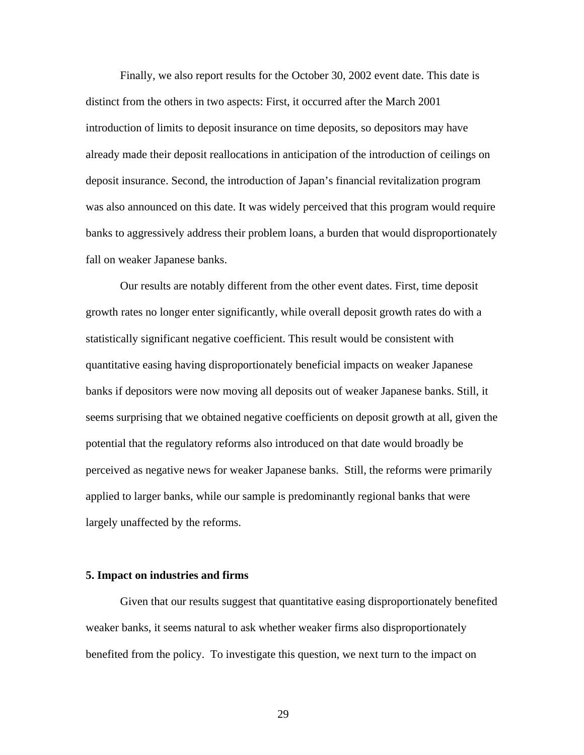Finally, we also report results for the October 30, 2002 event date. This date is distinct from the others in two aspects: First, it occurred after the March 2001 introduction of limits to deposit insurance on time deposits, so depositors may have already made their deposit reallocations in anticipation of the introduction of ceilings on deposit insurance. Second, the introduction of Japan's financial revitalization program was also announced on this date. It was widely perceived that this program would require banks to aggressively address their problem loans, a burden that would disproportionately fall on weaker Japanese banks.

Our results are notably different from the other event dates. First, time deposit growth rates no longer enter significantly, while overall deposit growth rates do with a statistically significant negative coefficient. This result would be consistent with quantitative easing having disproportionately beneficial impacts on weaker Japanese banks if depositors were now moving all deposits out of weaker Japanese banks. Still, it seems surprising that we obtained negative coefficients on deposit growth at all, given the potential that the regulatory reforms also introduced on that date would broadly be perceived as negative news for weaker Japanese banks. Still, the reforms were primarily applied to larger banks, while our sample is predominantly regional banks that were largely unaffected by the reforms.

#### **5. Impact on industries and firms**

Given that our results suggest that quantitative easing disproportionately benefited weaker banks, it seems natural to ask whether weaker firms also disproportionately benefited from the policy. To investigate this question, we next turn to the impact on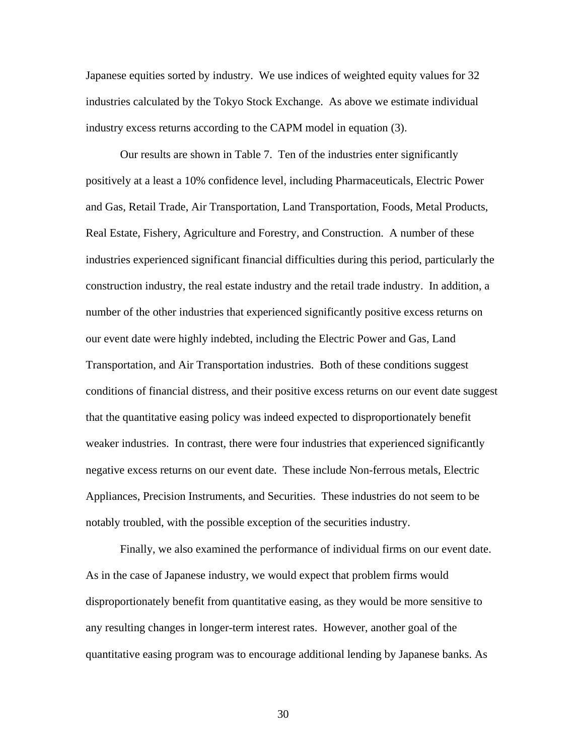Japanese equities sorted by industry. We use indices of weighted equity values for 32 industries calculated by the Tokyo Stock Exchange. As above we estimate individual industry excess returns according to the CAPM model in equation (3).

Our results are shown in Table 7. Ten of the industries enter significantly positively at a least a 10% confidence level, including Pharmaceuticals, Electric Power and Gas, Retail Trade, Air Transportation, Land Transportation, Foods, Metal Products, Real Estate, Fishery, Agriculture and Forestry, and Construction. A number of these industries experienced significant financial difficulties during this period, particularly the construction industry, the real estate industry and the retail trade industry. In addition, a number of the other industries that experienced significantly positive excess returns on our event date were highly indebted, including the Electric Power and Gas, Land Transportation, and Air Transportation industries. Both of these conditions suggest conditions of financial distress, and their positive excess returns on our event date suggest that the quantitative easing policy was indeed expected to disproportionately benefit weaker industries. In contrast, there were four industries that experienced significantly negative excess returns on our event date. These include Non-ferrous metals, Electric Appliances, Precision Instruments, and Securities. These industries do not seem to be notably troubled, with the possible exception of the securities industry.

 Finally, we also examined the performance of individual firms on our event date. As in the case of Japanese industry, we would expect that problem firms would disproportionately benefit from quantitative easing, as they would be more sensitive to any resulting changes in longer-term interest rates. However, another goal of the quantitative easing program was to encourage additional lending by Japanese banks. As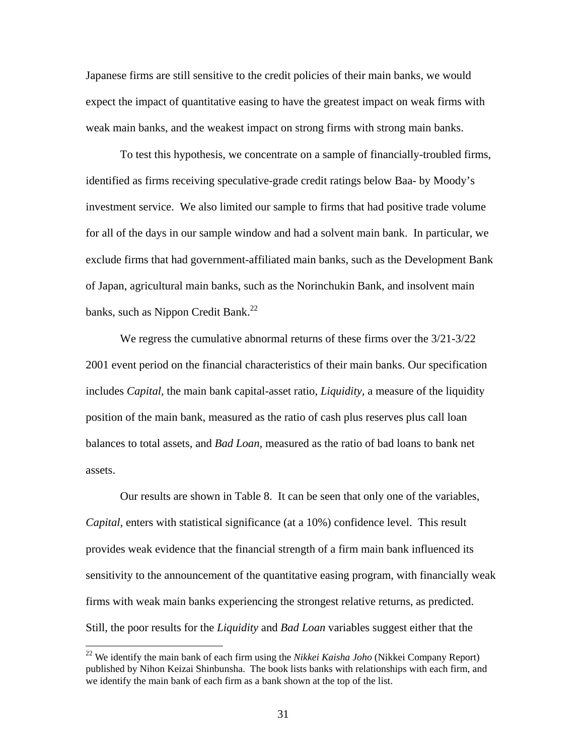Japanese firms are still sensitive to the credit policies of their main banks, we would expect the impact of quantitative easing to have the greatest impact on weak firms with weak main banks, and the weakest impact on strong firms with strong main banks.

 To test this hypothesis, we concentrate on a sample of financially-troubled firms, identified as firms receiving speculative-grade credit ratings below Baa- by Moody's investment service. We also limited our sample to firms that had positive trade volume for all of the days in our sample window and had a solvent main bank. In particular, we exclude firms that had government-affiliated main banks, such as the Development Bank of Japan, agricultural main banks, such as the Norinchukin Bank, and insolvent main banks, such as Nippon Credit Bank. $^{22}$ 

 We regress the cumulative abnormal returns of these firms over the 3/21-3/22 2001 event period on the financial characteristics of their main banks. Our specification includes *Capital,* the main bank capital-asset ratio, *Liquidity,* a measure of the liquidity position of the main bank, measured as the ratio of cash plus reserves plus call loan balances to total assets, and *Bad Loan,* measured as the ratio of bad loans to bank net assets.

 Our results are shown in Table 8. It can be seen that only one of the variables, *Capital,* enters with statistical significance (at a 10%) confidence level. This result provides weak evidence that the financial strength of a firm main bank influenced its sensitivity to the announcement of the quantitative easing program, with financially weak firms with weak main banks experiencing the strongest relative returns, as predicted. Still, the poor results for the *Liquidity* and *Bad Loan* variables suggest either that the

<sup>22</sup> We identify the main bank of each firm using the *Nikkei Kaisha Joho* (Nikkei Company Report) published by Nihon Keizai Shinbunsha. The book lists banks with relationships with each firm, and we identify the main bank of each firm as a bank shown at the top of the list.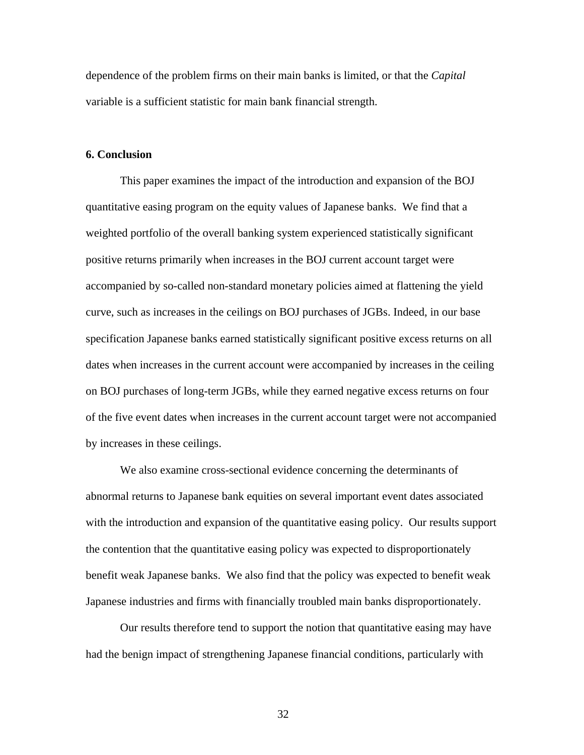dependence of the problem firms on their main banks is limited, or that the *Capital* variable is a sufficient statistic for main bank financial strength.

#### **6. Conclusion**

 This paper examines the impact of the introduction and expansion of the BOJ quantitative easing program on the equity values of Japanese banks. We find that a weighted portfolio of the overall banking system experienced statistically significant positive returns primarily when increases in the BOJ current account target were accompanied by so-called non-standard monetary policies aimed at flattening the yield curve, such as increases in the ceilings on BOJ purchases of JGBs. Indeed, in our base specification Japanese banks earned statistically significant positive excess returns on all dates when increases in the current account were accompanied by increases in the ceiling on BOJ purchases of long-term JGBs, while they earned negative excess returns on four of the five event dates when increases in the current account target were not accompanied by increases in these ceilings.

We also examine cross-sectional evidence concerning the determinants of abnormal returns to Japanese bank equities on several important event dates associated with the introduction and expansion of the quantitative easing policy. Our results support the contention that the quantitative easing policy was expected to disproportionately benefit weak Japanese banks. We also find that the policy was expected to benefit weak Japanese industries and firms with financially troubled main banks disproportionately.

 Our results therefore tend to support the notion that quantitative easing may have had the benign impact of strengthening Japanese financial conditions, particularly with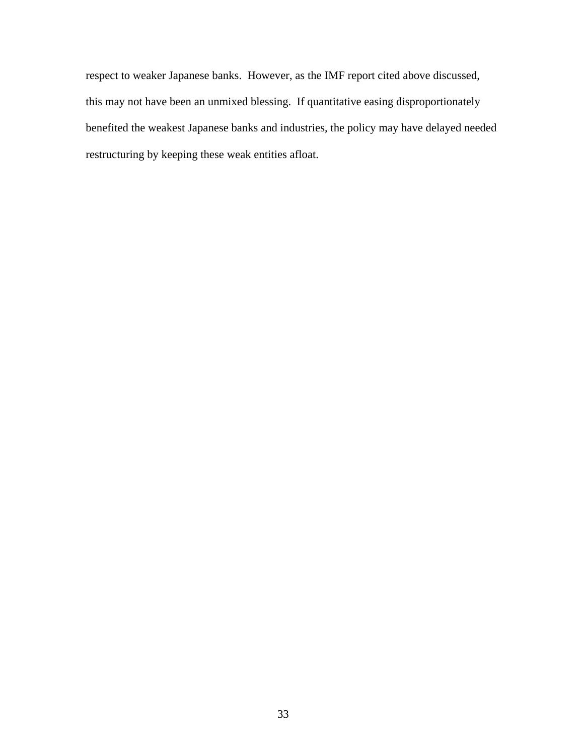respect to weaker Japanese banks. However, as the IMF report cited above discussed, this may not have been an unmixed blessing. If quantitative easing disproportionately benefited the weakest Japanese banks and industries, the policy may have delayed needed restructuring by keeping these weak entities afloat.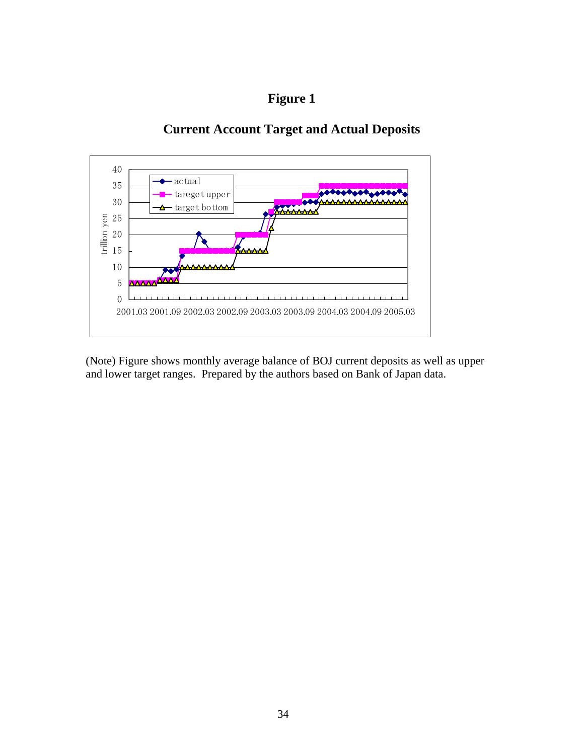# **Figure 1**

## **Current Account Target and Actual Deposits**



(Note) Figure shows monthly average balance of BOJ current deposits as well as upper and lower target ranges. Prepared by the authors based on Bank of Japan data.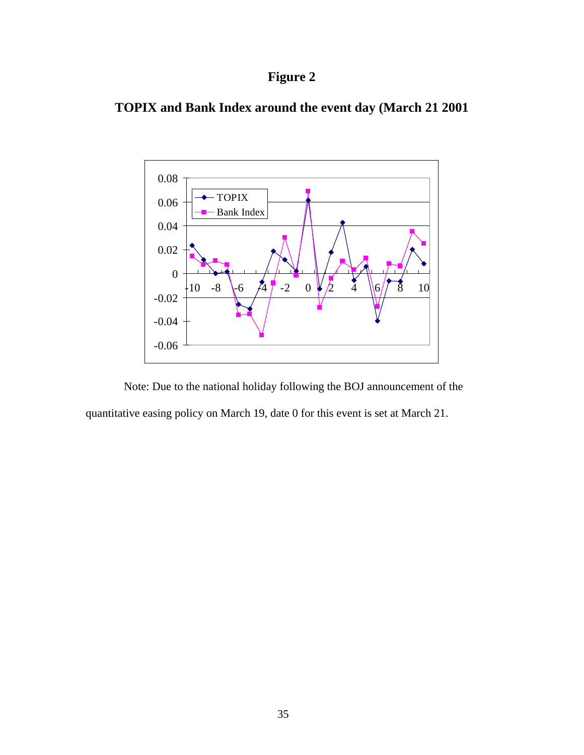# **Figure 2**





 Note: Due to the national holiday following the BOJ announcement of the quantitative easing policy on March 19, date 0 for this event is set at March 21.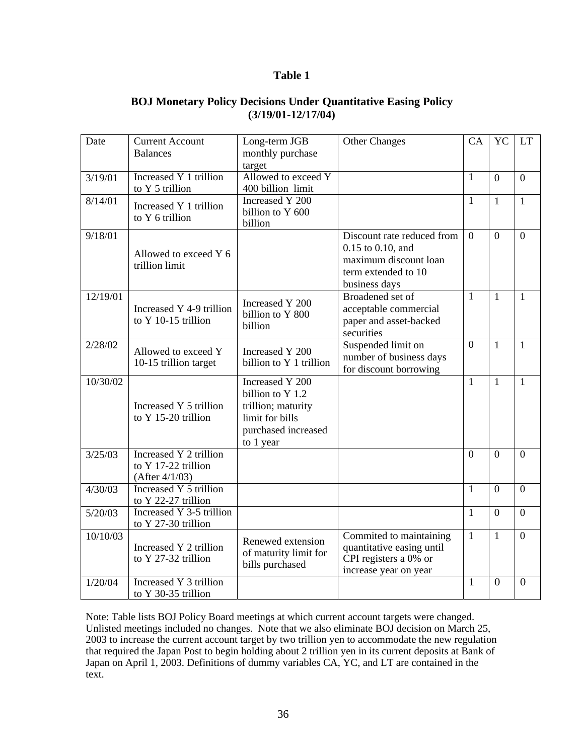### **Table 1**

### **BOJ Monetary Policy Decisions Under Quantitative Easing Policy (3/19/01-12/17/04)**

| Date     | <b>Current Account</b>   | Long-term JGB                                                                                                                                                                                                                      | <b>Other Changes</b>                               | CA             | <b>YC</b>      | <b>LT</b>      |
|----------|--------------------------|------------------------------------------------------------------------------------------------------------------------------------------------------------------------------------------------------------------------------------|----------------------------------------------------|----------------|----------------|----------------|
|          | <b>Balances</b>          | monthly purchase                                                                                                                                                                                                                   |                                                    |                |                |                |
|          |                          | target                                                                                                                                                                                                                             |                                                    |                |                |                |
| 3/19/01  | Increased Y 1 trillion   | Allowed to exceed Y                                                                                                                                                                                                                |                                                    | 1              | $\theta$       | $\theta$       |
|          | to Y 5 trillion          | 400 billion limit                                                                                                                                                                                                                  |                                                    |                |                |                |
| 8/14/01  | Increased Y 1 trillion   | Increased Y 200                                                                                                                                                                                                                    |                                                    | $\mathbf{1}$   | $\mathbf{1}$   | $\mathbf{1}$   |
|          | to Y 6 trillion          | billion to Y 600                                                                                                                                                                                                                   |                                                    |                |                |                |
|          |                          | billion                                                                                                                                                                                                                            |                                                    |                |                |                |
| 9/18/01  |                          |                                                                                                                                                                                                                                    | Discount rate reduced from                         | $\Omega$       | $\overline{0}$ | $\mathbf{0}$   |
|          | Allowed to exceed Y 6    |                                                                                                                                                                                                                                    | 0.15 to 0.10, and                                  |                |                |                |
|          | trillion limit           |                                                                                                                                                                                                                                    | maximum discount loan                              |                |                |                |
|          |                          |                                                                                                                                                                                                                                    | term extended to 10                                |                |                |                |
|          |                          |                                                                                                                                                                                                                                    | business days                                      |                |                |                |
| 12/19/01 |                          | Increased Y 200                                                                                                                                                                                                                    | Broadened set of                                   | $\mathbf{1}$   | $\mathbf{1}$   | $\mathbf{1}$   |
|          | Increased Y 4-9 trillion | billion to Y 800                                                                                                                                                                                                                   | acceptable commercial                              |                |                |                |
|          | to Y 10-15 trillion      | billion                                                                                                                                                                                                                            | paper and asset-backed                             |                |                |                |
|          |                          |                                                                                                                                                                                                                                    |                                                    |                |                |                |
| 2/28/02  | Allowed to exceed Y      |                                                                                                                                                                                                                                    |                                                    |                | $\mathbf{1}$   | $\mathbf{1}$   |
|          | 10-15 trillion target    |                                                                                                                                                                                                                                    |                                                    |                |                |                |
|          |                          | securities<br>Suspended limit on<br>$\overline{0}$<br>Increased Y 200<br>number of business days<br>billion to Y 1 trillion<br>for discount borrowing<br>Increased Y 200<br>$\mathbf{1}$<br>billion to Y 1.2<br>trillion; maturity |                                                    |                |                |                |
| 10/30/02 |                          |                                                                                                                                                                                                                                    |                                                    |                | $\mathbf{1}$   | $\mathbf{1}$   |
|          |                          |                                                                                                                                                                                                                                    |                                                    |                |                |                |
|          | Increased Y 5 trillion   |                                                                                                                                                                                                                                    |                                                    |                |                |                |
|          | to Y 15-20 trillion      | limit for bills                                                                                                                                                                                                                    |                                                    |                |                |                |
|          |                          | purchased increased                                                                                                                                                                                                                |                                                    |                |                |                |
|          |                          | to 1 year                                                                                                                                                                                                                          |                                                    |                |                |                |
| 3/25/03  | Increased Y 2 trillion   |                                                                                                                                                                                                                                    |                                                    | $\overline{0}$ | $\mathbf{0}$   | $\overline{0}$ |
|          | to Y 17-22 trillion      |                                                                                                                                                                                                                                    |                                                    |                |                |                |
|          | $(After \frac{4}{1/03})$ |                                                                                                                                                                                                                                    |                                                    |                |                |                |
| 4/30/03  | Increased Y 5 trillion   |                                                                                                                                                                                                                                    |                                                    | $\mathbf{1}$   | $\overline{0}$ | $\overline{0}$ |
|          | to Y 22-27 trillion      |                                                                                                                                                                                                                                    |                                                    |                |                |                |
| 5/20/03  | Increased Y 3-5 trillion |                                                                                                                                                                                                                                    |                                                    | 1              | $\theta$       | $\overline{0}$ |
|          | to Y 27-30 trillion      |                                                                                                                                                                                                                                    |                                                    |                |                |                |
| 10/10/03 | Increased Y 2 trillion   | Renewed extension                                                                                                                                                                                                                  | Commited to maintaining                            | $\mathbf{1}$   | $\mathbf{1}$   | $\mathbf{0}$   |
|          | to Y 27-32 trillion      | of maturity limit for                                                                                                                                                                                                              | quantitative easing until<br>CPI registers a 0% or |                |                |                |
|          |                          | bills purchased                                                                                                                                                                                                                    | increase year on year                              |                |                |                |
| 1/20/04  | Increased Y 3 trillion   |                                                                                                                                                                                                                                    |                                                    | $\mathbf{1}$   | $\overline{0}$ | $\overline{0}$ |
|          | to Y 30-35 trillion      |                                                                                                                                                                                                                                    |                                                    |                |                |                |
|          |                          |                                                                                                                                                                                                                                    |                                                    |                |                |                |

Note: Table lists BOJ Policy Board meetings at which current account targets were changed. Unlisted meetings included no changes. Note that we also eliminate BOJ decision on March 25, 2003 to increase the current account target by two trillion yen to accommodate the new regulation that required the Japan Post to begin holding about 2 trillion yen in its current deposits at Bank of Japan on April 1, 2003. Definitions of dummy variables CA, YC, and LT are contained in the text.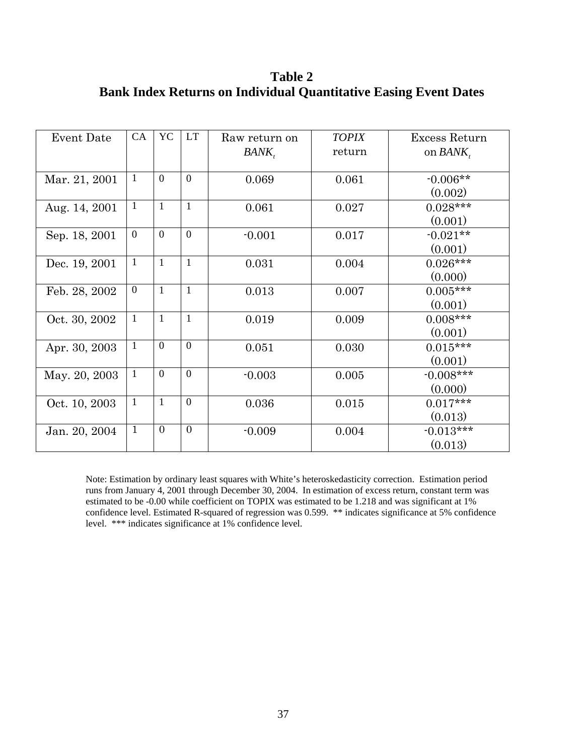**Table 2 Bank Index Returns on Individual Quantitative Easing Event Dates** 

| <b>Event Date</b> | CA             | YC             | <b>LT</b>      | Raw return on | <b>TOPIX</b> | Excess Return |
|-------------------|----------------|----------------|----------------|---------------|--------------|---------------|
|                   |                |                |                | BANK,         | return       | on $BANK$ ,   |
|                   |                |                |                |               |              |               |
| Mar. 21, 2001     | -1             | $\theta$       | $\overline{0}$ | 0.069         | 0.061        | $-0.006**$    |
|                   |                |                |                |               |              | (0.002)       |
| Aug. 14, 2001     | $\mathbf{1}$   | $\mathbf{1}$   | $\mathbf{1}$   | 0.061         | 0.027        | $0.028***$    |
|                   |                |                |                |               |              | (0.001)       |
| Sep. 18, 2001     | $\overline{0}$ | $\overline{0}$ | $\overline{0}$ | $-0.001$      | 0.017        | $-0.021**$    |
|                   |                |                |                |               |              | (0.001)       |
| Dec. 19, 2001     | $\mathbf{1}$   | $\mathbf{1}$   | $\mathbf{1}$   | 0.031         | 0.004        | $0.026***$    |
|                   |                |                |                |               |              | (0.000)       |
| Feb. 28, 2002     | $\overline{0}$ | $\mathbf{1}$   | $\mathbf{1}$   | 0.013         | 0.007        | $0.005***$    |
|                   |                |                |                |               |              | (0.001)       |
| Oct. 30, 2002     | $\mathbf{1}$   | $\mathbf{1}$   | $\mathbf{1}$   | 0.019         | 0.009        | $0.008***$    |
|                   |                |                |                |               |              | (0.001)       |
| Apr. 30, 2003     | $\mathbf{1}$   | $\Omega$       | $\overline{0}$ | 0.051         | 0.030        | $0.015***$    |
|                   |                |                |                |               |              | (0.001)       |
| May. 20, 2003     | $\mathbf{1}$   | $\Omega$       | $\overline{0}$ | $-0.003$      | 0.005        | $-0.008***$   |
|                   |                |                |                |               |              | (0.000)       |
| Oct. 10, 2003     | $\mathbf{1}$   | $\mathbf{1}$   | $\mathbf{0}$   | 0.036         | 0.015        | $0.017***$    |
|                   |                |                |                |               |              | (0.013)       |
| Jan. 20, 2004     | $\mathbf{1}$   | $\overline{0}$ | $\mathbf{0}$   | $-0.009$      | 0.004        | $-0.013***$   |
|                   |                |                |                |               |              | (0.013)       |

Note: Estimation by ordinary least squares with White's heteroskedasticity correction. Estimation period runs from January 4, 2001 through December 30, 2004. In estimation of excess return, constant term was estimated to be -0.00 while coefficient on TOPIX was estimated to be 1.218 and was significant at 1% confidence level. Estimated R-squared of regression was 0.599. \*\* indicates significance at 5% confidence level. \*\*\* indicates significance at 1% confidence level.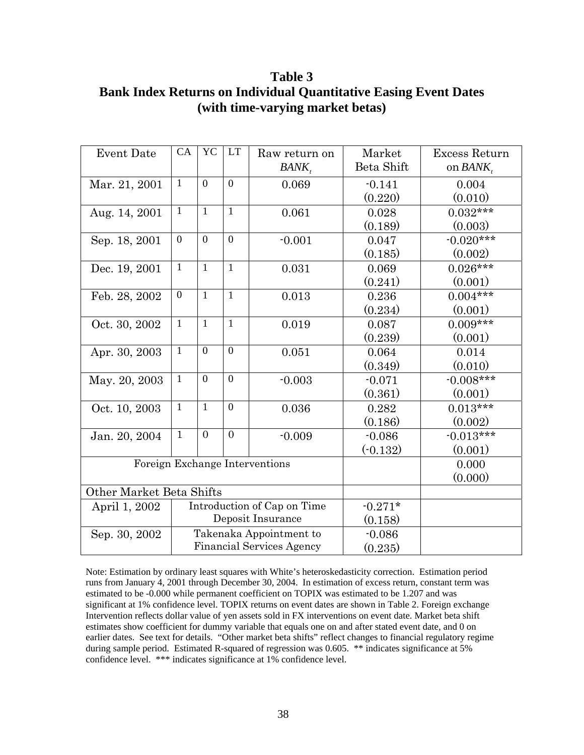**Table 3 Bank Index Returns on Individual Quantitative Easing Event Dates (with time-varying market betas)** 

| <b>Event Date</b>        | CA                               | <b>YC</b>      | <b>LT</b>      | Raw return on                  | Market     | Excess Return |
|--------------------------|----------------------------------|----------------|----------------|--------------------------------|------------|---------------|
|                          |                                  |                |                | $BANK$ ,                       | Beta Shift | on $BANK$ ,   |
| Mar. 21, 2001            | $\mathbf{1}$                     | $\overline{0}$ | $\overline{0}$ | 0.069                          | $-0.141$   | 0.004         |
|                          |                                  |                |                |                                | (0.220)    | (0.010)       |
| Aug. 14, 2001            | $\mathbf{1}$                     | $\mathbf{1}$   | $\mathbf{1}$   | 0.061                          | 0.028      | $0.032***$    |
|                          |                                  |                |                |                                | (0.189)    | (0.003)       |
| Sep. 18, 2001            | $\overline{0}$                   | $\overline{0}$ | $\overline{0}$ | $-0.001$                       | 0.047      | $-0.020***$   |
|                          |                                  |                |                |                                | (0.185)    | (0.002)       |
| Dec. 19, 2001            | $\mathbf{1}$                     | $\mathbf{1}$   | $\mathbf{1}$   | 0.031                          | 0.069      | $0.026***$    |
|                          |                                  |                |                |                                | (0.241)    | (0.001)       |
| Feb. 28, 2002            | $\overline{0}$                   | $\mathbf{1}$   | $\mathbf{1}$   | 0.013                          | 0.236      | $0.004***$    |
|                          |                                  |                |                |                                | (0.234)    | (0.001)       |
| Oct. 30, 2002            | $\mathbf{1}$                     | $\mathbf{1}$   | $\mathbf{1}$   | 0.019                          | 0.087      | $0.009***$    |
|                          |                                  |                |                |                                | (0.239)    | (0.001)       |
| Apr. 30, 2003            | $\mathbf{1}$                     | $\theta$       | $\overline{0}$ | 0.051                          | 0.064      | 0.014         |
|                          |                                  |                |                |                                | (0.349)    | (0.010)       |
| May. 20, 2003            | $\mathbf{1}$                     | $\theta$       | $\overline{0}$ | $-0.003$                       | $-0.071$   | $-0.008***$   |
|                          |                                  |                |                |                                | (0.361)    | (0.001)       |
| Oct. 10, 2003            | $\mathbf{1}$                     | $\mathbf{1}$   | $\theta$       | 0.036                          | 0.282      | $0.013***$    |
|                          |                                  |                |                |                                | (0.186)    | (0.002)       |
| Jan. 20, 2004            | $\mathbf{1}$                     | $\overline{0}$ | $\theta$       | $-0.009$                       | $-0.086$   | $-0.013***$   |
|                          |                                  |                |                |                                | $(-0.132)$ | (0.001)       |
|                          |                                  |                |                | Foreign Exchange Interventions |            | 0.000         |
|                          |                                  |                |                | (0.000)                        |            |               |
| Other Market Beta Shifts |                                  |                |                |                                |            |               |
| April 1, 2002            | Introduction of Cap on Time      |                | $-0.271*$      |                                |            |               |
|                          | Deposit Insurance                |                |                |                                | (0.158)    |               |
| Sep. 30, 2002            |                                  |                |                | Takenaka Appointment to        | $-0.086$   |               |
|                          | <b>Financial Services Agency</b> |                |                |                                | (0.235)    |               |

Note: Estimation by ordinary least squares with White's heteroskedasticity correction. Estimation period runs from January 4, 2001 through December 30, 2004. In estimation of excess return, constant term was estimated to be -0.000 while permanent coefficient on TOPIX was estimated to be 1.207 and was significant at 1% confidence level. TOPIX returns on event dates are shown in Table 2. Foreign exchange Intervention reflects dollar value of yen assets sold in FX interventions on event date. Market beta shift estimates show coefficient for dummy variable that equals one on and after stated event date, and 0 on earlier dates. See text for details. "Other market beta shifts" reflect changes to financial regulatory regime during sample period. Estimated R-squared of regression was 0.605. \*\* indicates significance at 5% confidence level. \*\*\* indicates significance at 1% confidence level.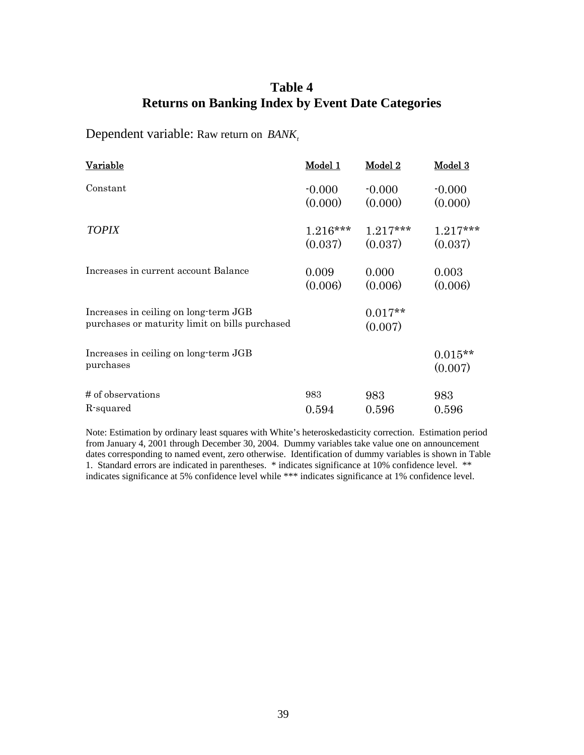## **Table 4 Returns on Banking Index by Event Date Categories**

Dependent variable: Raw return on *BANK*<sup>t</sup>

| Variable                                                                                | Model 1    | Model 2              | Model 3              |
|-----------------------------------------------------------------------------------------|------------|----------------------|----------------------|
| Constant                                                                                | $-0.000$   | $-0.000$             | $-0.000$             |
|                                                                                         | (0.000)    | (0.000)              | (0.000)              |
| <b>TOPIX</b>                                                                            | $1.216***$ | $1.217***$           | $1.217***$           |
|                                                                                         | (0.037)    | (0.037)              | (0.037)              |
| Increases in current account Balance                                                    | 0.009      | 0.000                | 0.003                |
|                                                                                         | (0.006)    | (0.006)              | (0.006)              |
| Increases in ceiling on long-term JGB<br>purchases or maturity limit on bills purchased |            | $0.017**$<br>(0.007) |                      |
| Increases in ceiling on long-term JGB<br>purchases                                      |            |                      | $0.015**$<br>(0.007) |
| # of observations                                                                       | 983        | 983                  | 983                  |
| R-squared                                                                               | 0.594      | 0.596                | 0.596                |

Note: Estimation by ordinary least squares with White's heteroskedasticity correction. Estimation period from January 4, 2001 through December 30, 2004. Dummy variables take value one on announcement dates corresponding to named event, zero otherwise. Identification of dummy variables is shown in Table 1. Standard errors are indicated in parentheses. \* indicates significance at 10% confidence level. \*\* indicates significance at 5% confidence level while \*\*\* indicates significance at 1% confidence level.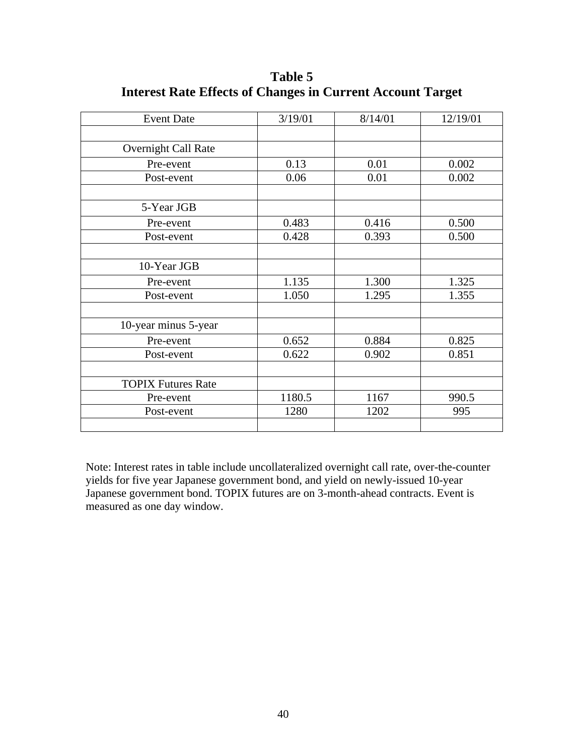| <b>Event Date</b>         | 3/19/01 | 8/14/01 | 12/19/01 |
|---------------------------|---------|---------|----------|
|                           |         |         |          |
| Overnight Call Rate       |         |         |          |
| Pre-event                 | 0.13    | 0.01    | 0.002    |
| Post-event                | 0.06    | 0.01    | 0.002    |
|                           |         |         |          |
| 5-Year JGB                |         |         |          |
| Pre-event                 | 0.483   | 0.416   | 0.500    |
| Post-event                | 0.428   | 0.393   | 0.500    |
|                           |         |         |          |
| 10-Year JGB               |         |         |          |
| Pre-event                 | 1.135   | 1.300   | 1.325    |
| Post-event                | 1.050   | 1.295   | 1.355    |
|                           |         |         |          |
| 10-year minus 5-year      |         |         |          |
| Pre-event                 | 0.652   | 0.884   | 0.825    |
| Post-event                | 0.622   | 0.902   | 0.851    |
|                           |         |         |          |
| <b>TOPIX Futures Rate</b> |         |         |          |
| Pre-event                 | 1180.5  | 1167    | 990.5    |
| Post-event                | 1280    | 1202    | 995      |
|                           |         |         |          |

**Table 5 Interest Rate Effects of Changes in Current Account Target** 

Note: Interest rates in table include uncollateralized overnight call rate, over-the-counter yields for five year Japanese government bond, and yield on newly-issued 10-year Japanese government bond. TOPIX futures are on 3-month-ahead contracts. Event is measured as one day window.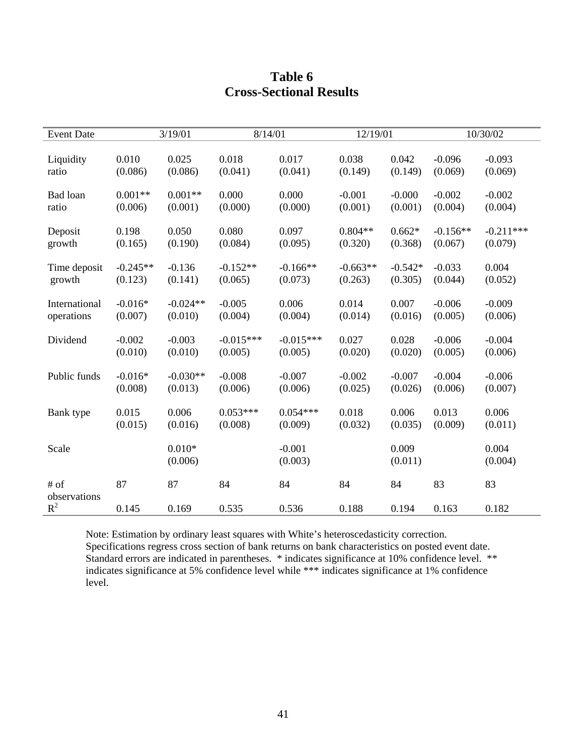| <b>Event Date</b>    |            | 3/19/01             | 8/14/01     |                     | 12/19/01   |                  |            | 10/30/02         |
|----------------------|------------|---------------------|-------------|---------------------|------------|------------------|------------|------------------|
| Liquidity            | 0.010      | 0.025               | 0.018       | 0.017               | 0.038      | 0.042            | $-0.096$   | $-0.093$         |
| ratio                | (0.086)    | (0.086)             | (0.041)     | (0.041)             | (0.149)    | (0.149)          | (0.069)    | (0.069)          |
| Bad loan             | $0.001**$  | $0.001**$           | 0.000       | 0.000               | $-0.001$   | $-0.000$         | $-0.002$   | $-0.002$         |
| ratio                | (0.006)    | (0.001)             | (0.000)     | (0.000)             | (0.001)    | (0.001)          | (0.004)    | (0.004)          |
| Deposit              | 0.198      | 0.050               | 0.080       | 0.097               | $0.804**$  | $0.662*$         | $-0.156**$ | $-0.211***$      |
| growth               | (0.165)    | (0.190)             | (0.084)     | (0.095)             | (0.320)    | (0.368)          | (0.067)    | (0.079)          |
| Time deposit         | $-0.245**$ | $-0.136$            | $-0.152**$  | $-0.166**$          | $-0.663**$ | $-0.542*$        | $-0.033$   | 0.004            |
| growth               | (0.123)    | (0.141)             | (0.065)     | (0.073)             | (0.263)    | (0.305)          | (0.044)    | (0.052)          |
| International        | $-0.016*$  | $-0.024**$          | $-0.005$    | 0.006               | 0.014      | 0.007            | $-0.006$   | $-0.009$         |
| operations           | (0.007)    | (0.010)             | (0.004)     | (0.004)             | (0.014)    | (0.016)          | (0.005)    | (0.006)          |
| Dividend             | $-0.002$   | $-0.003$            | $-0.015***$ | $-0.015***$         | 0.027      | 0.028            | $-0.006$   | $-0.004$         |
|                      | (0.010)    | (0.010)             | (0.005)     | (0.005)             | (0.020)    | (0.020)          | (0.005)    | (0.006)          |
| Public funds         | $-0.016*$  | $-0.030**$          | $-0.008$    | $-0.007$            | $-0.002$   | $-0.007$         | $-0.004$   | $-0.006$         |
|                      | (0.008)    | (0.013)             | (0.006)     | (0.006)             | (0.025)    | (0.026)          | (0.006)    | (0.007)          |
| Bank type            | 0.015      | 0.006               | $0.053***$  | $0.054***$          | 0.018      | 0.006            | 0.013      | 0.006            |
|                      | (0.015)    | (0.016)             | (0.008)     | (0.009)             | (0.032)    | (0.035)          | (0.009)    | (0.011)          |
| Scale                |            | $0.010*$<br>(0.006) |             | $-0.001$<br>(0.003) |            | 0.009<br>(0.011) |            | 0.004<br>(0.004) |
| # of<br>observations | 87         | 87                  | 84          | 84                  | 84         | 84               | 83         | 83               |
| $R^2$                | 0.145      | 0.169               | 0.535       | 0.536               | 0.188      | 0.194            | 0.163      | 0.182            |

# **Table 6 Cross-Sectional Results**

Note: Estimation by ordinary least squares with White's heteroscedasticity correction. Specifications regress cross section of bank returns on bank characteristics on posted event date. Standard errors are indicated in parentheses. \* indicates significance at 10% confidence level. \*\* indicates significance at 5% confidence level while \*\*\* indicates significance at 1% confidence level.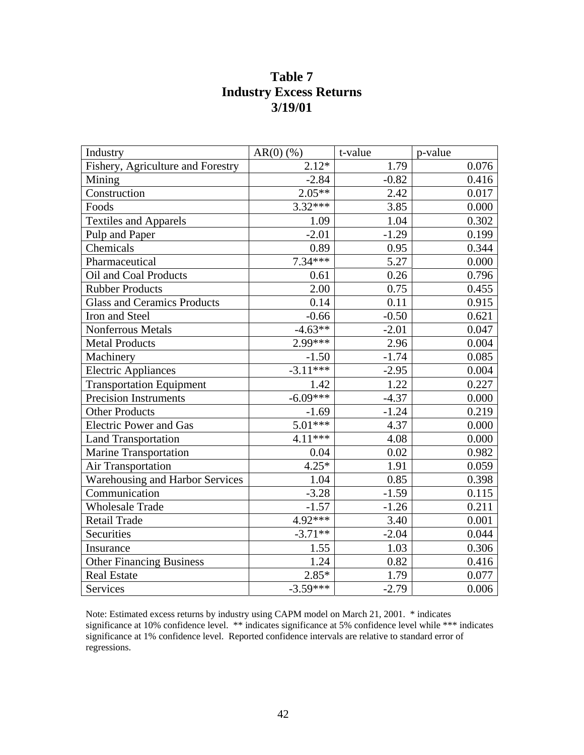## **Table 7 Industry Excess Returns 3/19/01**

| Industry                               | $AR(0)$ (%) | t-value | p-value |
|----------------------------------------|-------------|---------|---------|
| Fishery, Agriculture and Forestry      | $2.12*$     | 1.79    | 0.076   |
| Mining                                 | $-2.84$     | $-0.82$ | 0.416   |
| Construction                           | $2.05**$    | 2.42    | 0.017   |
| Foods                                  | $3.32***$   | 3.85    | 0.000   |
| <b>Textiles and Apparels</b>           | 1.09        | 1.04    | 0.302   |
| Pulp and Paper                         | $-2.01$     | $-1.29$ | 0.199   |
| Chemicals                              | 0.89        | 0.95    | 0.344   |
| Pharmaceutical                         | $7.34***$   | 5.27    | 0.000   |
| Oil and Coal Products                  | 0.61        | 0.26    | 0.796   |
| <b>Rubber Products</b>                 | 2.00        | 0.75    | 0.455   |
| <b>Glass and Ceramics Products</b>     | 0.14        | 0.11    | 0.915   |
| Iron and Steel                         | $-0.66$     | $-0.50$ | 0.621   |
| <b>Nonferrous Metals</b>               | $-4.63**$   | $-2.01$ | 0.047   |
| <b>Metal Products</b>                  | $2.99***$   | 2.96    | 0.004   |
| Machinery                              | $-1.50$     | $-1.74$ | 0.085   |
| <b>Electric Appliances</b>             | $-3.11***$  | $-2.95$ | 0.004   |
| <b>Transportation Equipment</b>        | 1.42        | 1.22    | 0.227   |
| <b>Precision Instruments</b>           | $-6.09***$  | $-4.37$ | 0.000   |
| <b>Other Products</b>                  | $-1.69$     | $-1.24$ | 0.219   |
| <b>Electric Power and Gas</b>          | $5.01***$   | 4.37    | 0.000   |
| <b>Land Transportation</b>             | $4.11***$   | 4.08    | 0.000   |
| <b>Marine Transportation</b>           | 0.04        | 0.02    | 0.982   |
| <b>Air Transportation</b>              | $4.25*$     | 1.91    | 0.059   |
| <b>Warehousing and Harbor Services</b> | 1.04        | 0.85    | 0.398   |
| Communication                          | $-3.28$     | $-1.59$ | 0.115   |
| <b>Wholesale Trade</b>                 | $-1.57$     | $-1.26$ | 0.211   |
| Retail Trade                           | $4.92***$   | 3.40    | 0.001   |
| Securities                             | $-3.71**$   | $-2.04$ | 0.044   |
| Insurance                              | 1.55        | 1.03    | 0.306   |
| <b>Other Financing Business</b>        | 1.24        | 0.82    | 0.416   |
| <b>Real Estate</b>                     | $2.85*$     | 1.79    | 0.077   |
| Services                               | $-3.59***$  | $-2.79$ | 0.006   |

Note: Estimated excess returns by industry using CAPM model on March 21, 2001. \* indicates significance at 10% confidence level. \*\* indicates significance at 5% confidence level while \*\*\* indicates significance at 1% confidence level. Reported confidence intervals are relative to standard error of regressions.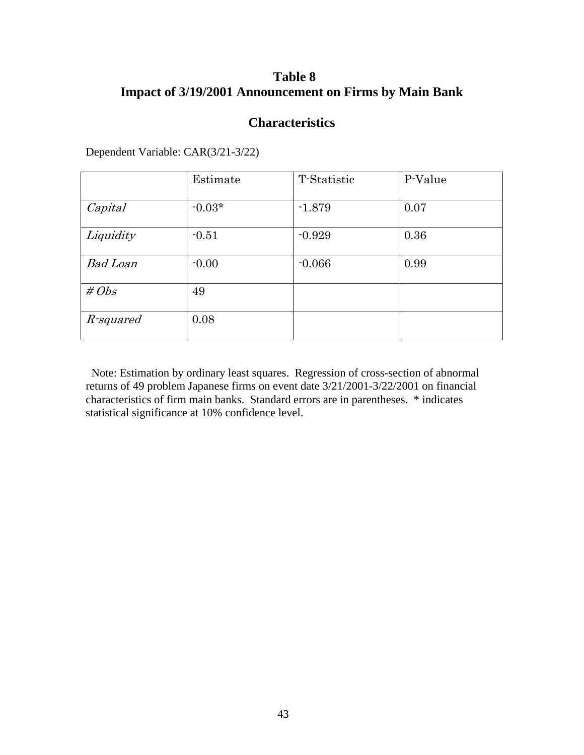## **Table 8 Impact of 3/19/2001 Announcement on Firms by Main Bank**

## **Characteristics**

|                 | Estimate | T-Statistic | P-Value |
|-----------------|----------|-------------|---------|
| Capital         | $-0.03*$ | $-1.879$    | 0.07    |
| Liquidity       | $-0.51$  | $-0.929$    | 0.36    |
| <b>Bad Loan</b> | $-0.00$  | $-0.066$    | 0.99    |
| # $Obs$         | 49       |             |         |
| R-squared       | 0.08     |             |         |

Dependent Variable: CAR(3/21-3/22)

Note: Estimation by ordinary least squares. Regression of cross-section of abnormal returns of 49 problem Japanese firms on event date 3/21/2001-3/22/2001 on financial characteristics of firm main banks. Standard errors are in parentheses. \* indicates statistical significance at 10% confidence level.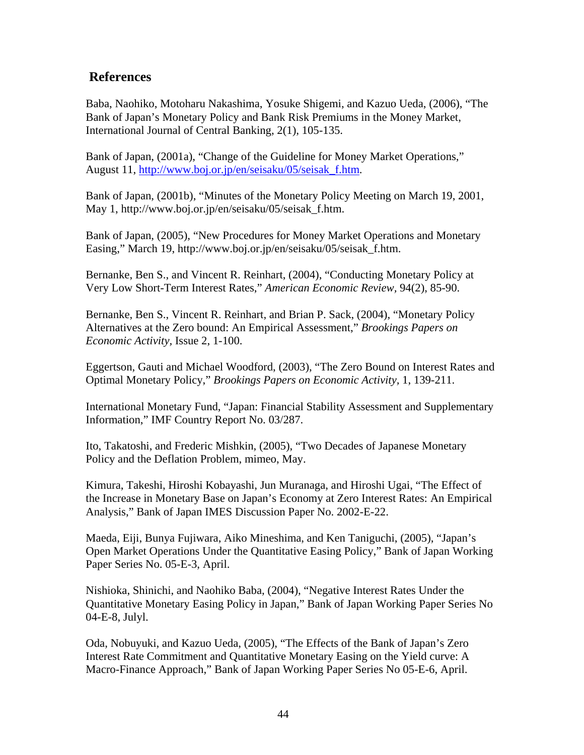## **References**

Baba, Naohiko, Motoharu Nakashima, Yosuke Shigemi, and Kazuo Ueda, (2006), "The Bank of Japan's Monetary Policy and Bank Risk Premiums in the Money Market, International Journal of Central Banking, 2(1), 105-135.

Bank of Japan, (2001a), "Change of the Guideline for Money Market Operations," August 11, http://www.boj.or.jp/en/seisaku/05/seisak\_f.htm.

Bank of Japan, (2001b), "Minutes of the Monetary Policy Meeting on March 19, 2001, May 1, http://www.boj.or.jp/en/seisaku/05/seisak\_f.htm.

Bank of Japan, (2005), "New Procedures for Money Market Operations and Monetary Easing," March 19, http://www.boj.or.jp/en/seisaku/05/seisak\_f.htm.

Bernanke, Ben S., and Vincent R. Reinhart, (2004), "Conducting Monetary Policy at Very Low Short-Term Interest Rates," *American Economic Review,* 94(2), 85-90.

Bernanke, Ben S., Vincent R. Reinhart, and Brian P. Sack, (2004), "Monetary Policy Alternatives at the Zero bound: An Empirical Assessment," *Brookings Papers on Economic Activity,* Issue 2, 1-100.

Eggertson, Gauti and Michael Woodford, (2003), "The Zero Bound on Interest Rates and Optimal Monetary Policy," *Brookings Papers on Economic Activity,* 1, 139-211.

International Monetary Fund, "Japan: Financial Stability Assessment and Supplementary Information," IMF Country Report No. 03/287.

Ito, Takatoshi, and Frederic Mishkin, (2005), "Two Decades of Japanese Monetary Policy and the Deflation Problem, mimeo, May.

Kimura, Takeshi, Hiroshi Kobayashi, Jun Muranaga, and Hiroshi Ugai, "The Effect of the Increase in Monetary Base on Japan's Economy at Zero Interest Rates: An Empirical Analysis," Bank of Japan IMES Discussion Paper No. 2002-E-22.

Maeda, Eiji, Bunya Fujiwara, Aiko Mineshima, and Ken Taniguchi, (2005), "Japan's Open Market Operations Under the Quantitative Easing Policy," Bank of Japan Working Paper Series No. 05-E-3, April.

Nishioka, Shinichi, and Naohiko Baba, (2004), "Negative Interest Rates Under the Quantitative Monetary Easing Policy in Japan," Bank of Japan Working Paper Series No 04-E-8, Julyl.

Oda, Nobuyuki, and Kazuo Ueda, (2005), "The Effects of the Bank of Japan's Zero Interest Rate Commitment and Quantitative Monetary Easing on the Yield curve: A Macro-Finance Approach," Bank of Japan Working Paper Series No 05-E-6, April.